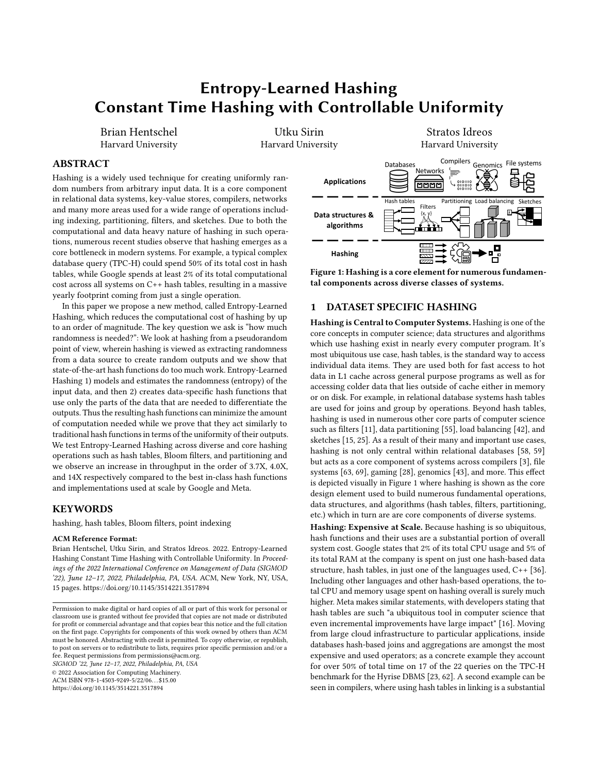# Entropy-Learned Hashing Constant Time Hashing with Controllable Uniformity

Brian Hentschel Harvard University

Utku Sirin Harvard University

Stratos Idreos Harvard University

# ABSTRACT

Hashing is a widely used technique for creating uniformly random numbers from arbitrary input data. It is a core component in relational data systems, key-value stores, compilers, networks and many more areas used for a wide range of operations including indexing, partitioning, filters, and sketches. Due to both the computational and data heavy nature of hashing in such operations, numerous recent studies observe that hashing emerges as a core bottleneck in modern systems. For example, a typical complex database query (TPC-H) could spend 50% of its total cost in hash tables, while Google spends at least 2% of its total computational cost across all systems on C++ hash tables, resulting in a massive yearly footprint coming from just a single operation.

In this paper we propose a new method, called Entropy-Learned Hashing, which reduces the computational cost of hashing by up to an order of magnitude. The key question we ask is "how much randomness is needed?": We look at hashing from a pseudorandom point of view, wherein hashing is viewed as extracting randomness from a data source to create random outputs and we show that state-of-the-art hash functions do too much work. Entropy-Learned Hashing 1) models and estimates the randomness (entropy) of the input data, and then 2) creates data-specific hash functions that use only the parts of the data that are needed to differentiate the outputs. Thus the resulting hash functions can minimize the amount of computation needed while we prove that they act similarly to traditional hash functions in terms of the uniformity of their outputs. We test Entropy-Learned Hashing across diverse and core hashing operations such as hash tables, Bloom filters, and partitioning and we observe an increase in throughput in the order of 3.7X, 4.0X, and 14X respectively compared to the best in-class hash functions and implementations used at scale by Google and Meta.

## **KEYWORDS**

hashing, hash tables, Bloom filters, point indexing

#### ACM Reference Format:

Brian Hentschel, Utku Sirin, and Stratos Idreos. 2022. Entropy-Learned Hashing Constant Time Hashing with Controllable Uniformity. In Proceedings of the 2022 International Conference on Management of Data (SIGMOD '22), June 12–17, 2022, Philadelphia, PA, USA. ACM, New York, NY, USA, [15](#page-14-0) pages.<https://doi.org/10.1145/3514221.3517894>

SIGMOD '22, June 12–17, 2022, Philadelphia, PA, USA

© 2022 Association for Computing Machinery. ACM ISBN 978-1-4503-9249-5/22/06. . . \$15.00

<https://doi.org/10.1145/3514221.3517894>

<span id="page-0-0"></span>

Figure 1: Hashing is a core element for numerous fundamental components across diverse classes of systems.

# 1 DATASET SPECIFIC HASHING

Hashing is Central to Computer Systems. Hashing is one of the core concepts in computer science; data structures and algorithms which use hashing exist in nearly every computer program. It's most ubiquitous use case, hash tables, is the standard way to access individual data items. They are used both for fast access to hot data in L1 cache across general purpose programs as well as for accessing colder data that lies outside of cache either in memory or on disk. For example, in relational database systems hash tables are used for joins and group by operations. Beyond hash tables, hashing is used in numerous other core parts of computer science such as filters [\[11\]](#page-13-0), data partitioning [\[55\]](#page-13-1), load balancing [\[42\]](#page-13-2), and sketches [\[15,](#page-13-3) [25\]](#page-13-4). As a result of their many and important use cases, hashing is not only central within relational databases [\[58,](#page-14-1) [59\]](#page-14-2) but acts as a core component of systems across compilers [\[3\]](#page-13-5), file systems [\[63,](#page-14-3) [69\]](#page-14-4), gaming [\[28\]](#page-13-6), genomics [\[43\]](#page-13-7), and more. This effect is depicted visually in Figure [1](#page-0-0) where hashing is shown as the core design element used to build numerous fundamental operations, data structures, and algorithms (hash tables, filters, partitioning, etc.) which in turn are are core components of diverse systems.

Hashing: Expensive at Scale. Because hashing is so ubiquitous, hash functions and their uses are a substantial portion of overall system cost. Google states that 2% of its total CPU usage and 5% of its total RAM at the company is spent on just one hash-based data structure, hash tables, in just one of the languages used, C++ [\[36\]](#page-13-8). Including other languages and other hash-based operations, the total CPU and memory usage spent on hashing overall is surely much higher. Meta makes similar statements, with developers stating that hash tables are such "a ubiquitous tool in computer science that even incremental improvements have large impact" [\[16\]](#page-13-9). Moving from large cloud infrastructure to particular applications, inside databases hash-based joins and aggregations are amongst the most expensive and used operators; as a concrete example they account for over 50% of total time on 17 of the 22 queries on the TPC-H benchmark for the Hyrise DBMS [\[23,](#page-13-10) [62\]](#page-14-5). A second example can be seen in compilers, where using hash tables in linking is a substantial

Permission to make digital or hard copies of all or part of this work for personal or classroom use is granted without fee provided that copies are not made or distributed for profit or commercial advantage and that copies bear this notice and the full citation on the first page. Copyrights for components of this work owned by others than ACM must be honored. Abstracting with credit is permitted. To copy otherwise, or republish, to post on servers or to redistribute to lists, requires prior specific permission and/or a fee. Request permissions from permissions@acm.org.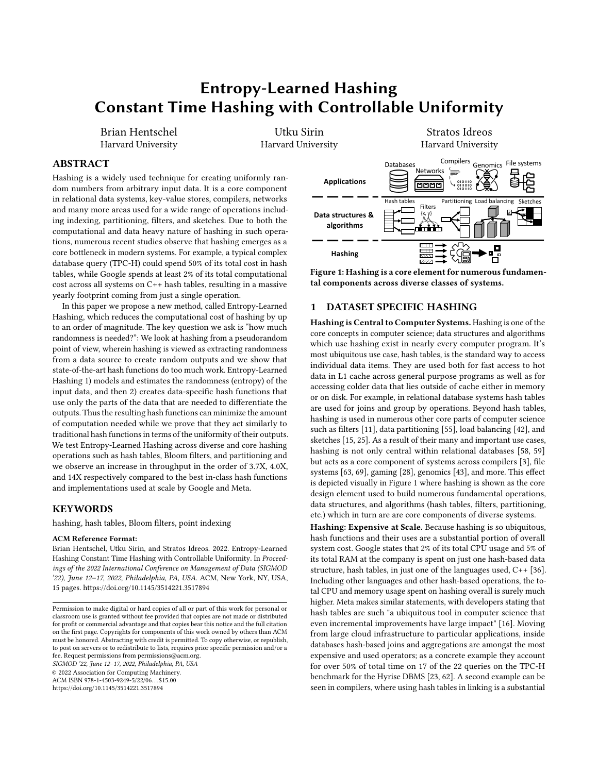part of program compilation costs in Visual Studio [\[3\]](#page-13-5). Moving beyond hash tables, filters are a key computational bottleneck in LSM trees [\[21,](#page-13-11) [71\]](#page-14-6), while similarly sketches act as a key computational bottleneck in network switches [\[40\]](#page-13-12)

These observations across diverse industries, systems and data structures spell out an important fact: despite numerous algorithmic and engineering advances, hashing use cases are still expensive because of the frequency and scale at which they are used.

Randomness vs. Performance. To start drilling in at both the source of the problem and our solution we will next discuss the core mechanisms and trade-offs in hashing. A core component of all hash-based data structures and algorithms is the hash function itself, with hash functions having two primary goals. The first is to create uniformly random outputs for any number of input items. That is, the output should be jointly uniform as well as marginally uniform. The second is computational efficiency. While ideally both goals would be optimally achievable, these two goals are practically at odds with each other. Thus a central question for all hash-based operations is how much randomness is needed from the hash function for the operation at hand.

Guarantees Without Assumptions on the Data. To get performance guarantees on hash data structure performance without assumptions on the data, all randomness needs to come from the hash function. The main way to define this property is by bounding the likelihood of collision for arbitrary input items. In universal hashing [\[17\]](#page-13-13), one guarantees that for any two items  $G - \epsilon$  and family of functions :  $\overrightarrow{60} \cdot 1g^2$  |  $\overrightarrow{60} \cdot 1g^3$ , the probability when choosing a random from of  ${}^{1}G^{\circ} = {}^{1}{}^{\circ}$  is  $\frac{1}{\leq}$ . However, this is not enough randomness for many data structures [\[48,](#page-13-14) [50\]](#page-13-15), and so an expanded idea of hash randomness is k-independence, which is that for any set of : inputs  $G_1 \cdot \cdots \cdot G_r$ , and : outputs  $\sim_1 \cdot \cdots \cdot \sim_f$ , the probability of  $\sqrt[8]{\setminus_{8}^{\phantom{1}} \setminus_{\substack{6}}^{\phantom{1}} \setminus_{\substack{6}}^{\phantom{1}}}} = -\frac{1}{8}$  e =  $\ltimes$  [\[68\]](#page-14-7). Given this model, it becomes possible to provide guarantees about data structures and algorithms, with larger amounts of independence being more computationally expensive but providing better performance guarantees [\[48,](#page-13-14) [50,](#page-13-15) [68\]](#page-14-7).

Hashing in Practice. In practice, systems designers avoid expensive k-independent hash functions and instead opt for hash functions which lack formal robustness guarantees but are faster to compute [\[7\]](#page-13-16). For instance, RocksDB uses xxHash [\[19\]](#page-13-17), Google heavily uses CityHash, Wyhash, and FarmHash [\[53,](#page-13-18) [54,](#page-13-19) [66\]](#page-14-8), and C++ compilers such as g++ often choose MurmurHash [\[1,](#page-13-20) [6\]](#page-13-21). This is because the computational performance of hashing is too important: systems designers are willing to give up concrete performance guarantees in exchange for faster hashing.

Another reason systems designers choose hash functions without formal guarantees is that empirically, their outputs appear as random as if they were from perfectly random hash functions [\[49,](#page-13-22) [56,](#page-14-9) [57\]](#page-14-10). One explanation for this phenomena is pseudorandomness. The main idea is the following: most hash functions perform well on most input data, and it takes careful manipulation of the input data to craft scenarios where commonly used hash functions fail. In other words, if we give up guaranteed performance on all datasets and instead assume data itself is random enough, then hash functions with weaker guarantees in terms of independence can be shown to perform in expectation nearly identically to those that are fully random [\[18,](#page-13-23) [41\]](#page-13-24).

Problem Definition. Having given the core concepts in state-ofthe-art hashing, we can now restate the problem more concretely. Modern systems across diverse areas and industries utilize fast hash functions but without any guarantees. However, these fast hash functions are still not fast enough: they are still slow in that they occupy a large portion of total cost in all those systems. In this paper, we ask the following question:

#### "Is it possible to improve on the speed of the best modern hash functions such that this brings significant end-to-end impact across diverse widely used hash-based operations, while at the same time maintaining and controlling their uniformity properties"?

The Solution: A Dataset-specific view of Hashing. Our core intuition is to utilize the inherent randomness in the data in a controlled way. That is, if we know how random the input data is, we can use this observed randomness to create faster hash functions by doing just enough computation and data movement to create a sufficiently random output. Our key insight is that hash functions in state-of-the-art solutions are "fixed" in that they always do the same work regardless of the input. As such they end up doing more work than needed if data sources are already random enough. Our goal is to utilize such "surplus randomness" in the data to minimize cost by adapting the hash function to the data.

Our resulting solution, Entropy-Learned Hashing, designs the hash function for a data source in two steps. In the first step, it uses samples of past data items and queries to estimate the amount of randomness in input keys at sets of byte locations. The second step then uses this learned randomness to choose subsets of bytes from input keys to hash. These subsets are chosen to have just enough randomness for the task at hand, creating faster hash functions while preserving the (approximate) uniformity of the hash function's output. For instance, for a dataset with input keys of length 120 bytes, if some consistent subset of bytes (such as bytes 3,7,9,12, and 15) is sufficiently random, Entropy-Learned Hashing computes a hash function using only these bytes and requires approximately only 1•24th the amount of computation.

Constant-Time Hashing. As a result of this view and its subsequent analysis, Entropy-Learned Hashing changes hashing from an operation whose runtime is linear in the size of input keys to one which is a constant-time operation with computational complexity independent of key size. Thus when compared to traditional hashing, it provides theoretical improvements which are unbounded as key sizes grow.

Contributions. The rest of the paper builds out the idea of Entropy-Learned Hashing, showing analytically and experimentally its improvements over traditional hashing. Specifically, we view our contributions as:

Entropy-Learned Hashing Formalization: We introduce a new way to design hash functions that uses the entropy inside the data source to reduce the computation required by hash functions. Optimization: We show how to choose which bytes to hash given a collection of past queries and data items to analyze. Generalization: We show how the entropy of partial-key hashes generalizes to data items outside the given sample of data. Concrete Trade-offs: We derive metric equations for three core

hash use cases of Entropy-Learned Hashing: hash tables, Bloom filters, and data partitioning. This allows users to trade-off speed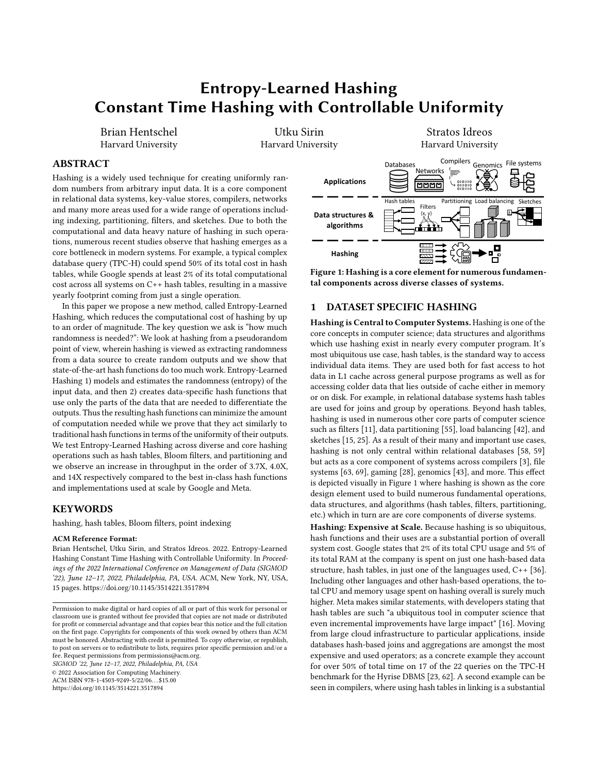Entropy-Learned Hashing<br>Constant Time Hashing with Controllable Uniformity

<span id="page-2-0"></span>

Figure 2: The core steps in Entropy-Learned Hashing.

in hash computation for small changes in other metrics of interest such as the number of comparisons, FPR, and partition variance. Experiments: Comparing against state-of-the-art designs and implementations (e.g., Google's and Meta's hash tables), we show that Entropy-Learned Hashing provides faster overall throughput than traditional hashing. While this improvement is unbounded with key size, for common medium-sized key types such as URLs, we show this improvement is up to 3.7 for hash tables, 4.0 for Bloom filters, and up to 14 for data partitioning.

The paper is curated to be self-contained with the most critical material and we also accompany it with an online appendix with detailed proofs and numerous additional experiments [\[29\]](#page-13-25).

#### 2 OVERVIEW & MODELING

We now move on with a detailed description of Entropy-Learned Hashing which will span the next three sections. In this section, we start with a more detailed overview as well as laying out the basics for notation and modeling which we use throughout the paper.

Overview. The goal of Entropy-Learned Hashing is to learn how much randomness is needed and to produce a hash function which does just enough work by controlling the input given to the hash function. To achieve this goal, Entropy-Learned Hashing looks for bytes which are highly random on input objects and passes just enough of these bytes to create a highly random output. Stated more formally, Entropy-Learned Hashing consists of creating a hash function  $\int_0^0$  which is the composition of 1) a partial-key function ! which maps a key  $G$  to any subkey of  $G$  (including potentially the full key  $G$ ), and  $2)$ , a traditional hash function. Our focus is on designing !, and can be any of the many well-engineered hash functions for full-keys.

In order to create the partial-key function !, Entropy-Learned Hashing uses three steps as shown in Figure [2.](#page-2-0) First, it analyzes the data source  $G$  and identifies which bytes are highly random, and how much entropy can be expected from a choice of ! (Section [3\)](#page-2-1). Second, it reasons about how ! affects data structure metrics (Section [4\)](#page-4-0). Finally, it uses runtime information, such as the size of the desired Bloom filter or hash table or the number of partitions in partitioning to choose which bytes to use in ! (Section [5\)](#page-7-0).

Notation. The notation for all variables used is given in Table [1.](#page-2-2) Capital letters refer to either random variables or sets whereas lower case variables refer to fixed quantities. The new notation is because keys entered into are no longer unique. The set of keys contained in a hash-based data structure is broken down into

SIGMOD '22, June 12–17, 2022, Philadelphia, PA, USA

<span id="page-2-2"></span>

| Notation   | Definition (filter, hash table, or load balancer)                      |
|------------|------------------------------------------------------------------------|
| $-\cdot G$ | key stored in the filter or hash table                                 |
|            | hash function for filter or hash table                                 |
|            | query key in filter or hash table                                      |
| $\,<\,$    | size of filter (in bits), table (in slots), or # bins                  |
| $=$        | number of keys in filter or table                                      |
|            | set of keys                                                            |
| (i)        | multi-set of partial keys. Equal to $\frac{1}{1!} \cdot l^{\circ}$     |
| $\vert$ !  | Set of all partial keys.                                               |
|            | maps each key $G_2$ it to $J^{1,1}G^{\circ}$ . $I_G$ is used as short- |
|            | hand for $I^1G^{\circ}$ throughout.                                    |
| Notation   | Definition (hash table only)                                           |
| U          | fill of hash table: $\bar{=}$                                          |
| $%^{0}$    | number of comparisons to find non-existing key                         |
| %          | average # of comparisons to retrieve a key in the dataset              |
|            |                                                                        |

Table 1: Notation used throughout the paper.

the multi-set  $\left(\frac{1}{2}l - \frac{1}{2}l \cdot l^{\circ}\right)$ . Here,  $\left|l\right|$  is the set of all partial-keys (outputs of  $!$  applied to keys in ), and  $!$  maps each key in  $\prime$  to the cardinality of its pre-image in . For instance, if  $\ell$  takes the first two characters of an input and  $= f \cdot \text{dog}$ , dot, cat, fang, then  $_{j}$  = f"do"•"ca"•"fa"g,  $I$ <sup>1</sup>"ca"<sup>o</sup> = 1, and  $I$ <sup>1</sup>"do"<sup>o</sup> = 2.

Hash Function Model. We assume that is ideally random, i.e. that for any distinct inputs  $G_1 \cdot {}^{n} \cdot {}^{n} \cdot G_2$ , output range  $\ast < \ast$ f1• " " " < g, and outputs  $0_1$  • " " "  $0_2$  2 » < %, we have

$$
P^{1} \quad {}^{1}G_{1}{}^{0} = \mathcal{O}_{1} \cdot {}^{""} \cdot {}^{1}G_{=}{}^{0} = \mathcal{O}_{=}{}^{0} = \bigoplus_{\beta=1}^{1} P^{1} \quad {}^{1}G_{\beta}{}^{0} = \mathcal{O}_{\beta}{}^{0} \quad = {}^{1} \frac{1}{\lt} {}^{0}=
$$

We do not use k-independent hashing; as noted before and as shown again in our experiments, hash functions tend to perform empirically like their perfectly random counterparts. Moreover, most proofs using k-independent hashing give big-O guarantees but drop constant factors [\[41,](#page-13-24) [48,](#page-13-14) [50\]](#page-13-15). These constant factors are of significant importance for high performance hash functions.

Source Model. Conditioned on ! we assume that the partial-keys  $l^1$ - $\circ$  are i.i.d. distributed because the main metrics for hash-based algorithms tend to be order-independent. For instance, whether keys are ordered  $G_1 \cdot {}^{""} G_2$  or in the reverse order  $G_2 \cdot {}^{""} G_1$ , the slots filled in a linear probing hash table or the length of the linked lists in a separate chaining hash table are identical. Similar statements hold for the false positive rate of Bloom filters and the partitions produced by partitioning. Thus, even if the original source has a temporal nature that might be better modelled by a Markovian assumption, the marginal distribution over time is more important.

### <span id="page-2-1"></span>3 CREATING PARTIAL-KEY FUNCTIONS

The first step is to create the partial-key function ! which needs knowledge about the data we expect. In the case of fixed datasets, such as read-only indexes like those used in the levels of LSM-based key-value stores [\[47\]](#page-13-26), this is the actual dataset. With updates, we need a sample of past data and queries.

Metric for Partial-Key Hash Functions. Partial-key functions have two metrics. The first is the number of bytes in their output, with fewer being better so that subsequent hash computation is faster. The second is the Rényi Entropy of order 2 of their output, also known as the collision entropy. For a given discrete random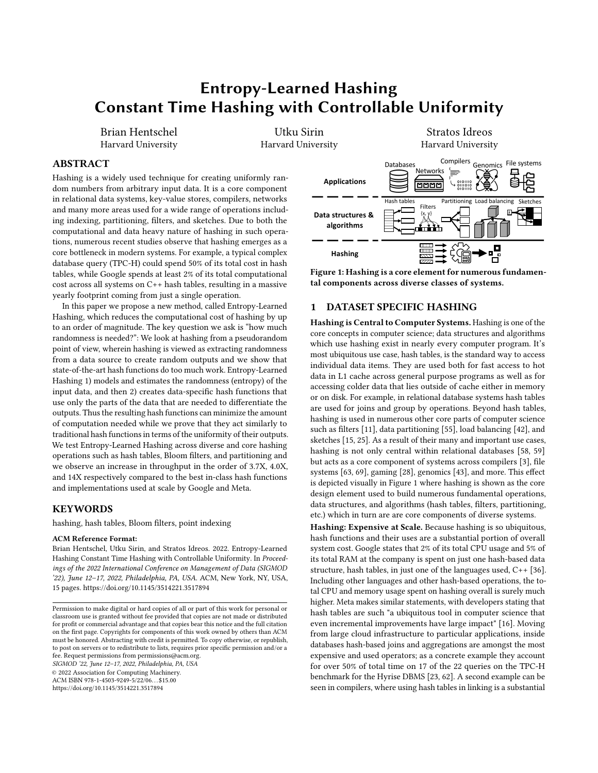variable -, its Rényi Entropy of order 2 is  $2^{1-\degree} = \log \frac{1}{\frac{1}{\cancel{S}}}} \frac{72}{\cancel{S}}$ where  $\frac{2}{\theta}$  is the probability that - takes on the  $\theta$ th symbol in an alphabet  $A = fB_1 \cdot \frac{m \cdot m}{B} = 0$ . It draws its name from the fact that if  $-i-i$  are drawn i.i.d. from the same distribution as  $-i$ , then  $2^{1-\circ}$  =  $\log_2 P^1 -_1 = -2^{\circ}$ . We use collision probability to refer to  $P^1 - P^0 = P^1 - P^0 = -2^{\circ}$  and mean Rényi Entropy of order 2 whenever we use the term entropy. For Entropy-Learned Hashing, Rényi Entropy tells us how likely collisions are to occur. The following lemma will be useful in our analysis:

<span id="page-3-2"></span>LEMMA 1. Given  $=$  i.i.d. samples from a distribution  $-$ , the number of observed collisions over the number of 2-combinations is an unbiased estimator of the collision probability for  $-$ . That is, if  $=$ <sub>8</sub> is the number of times a symbol  $B_8$  appears in the sample, then we have

$$
E \sum_{\beta} \frac{-\frac{2}{\beta}}{2} \psi = \frac{-2}{2} P^{1} - \frac{3}{2}
$$

where  $G^2 = G^1G$  1<sup>°</sup> is the 2nd falling power. Equivalently,

$$
E \sum_{\theta}^{\bullet} \frac{z^2}{2} \psi = \frac{z^2}{2} 2^{-2^{1-\theta}}
$$

Proof. There are  $\frac{1}{2}$  possible 2-combinations in = samples, each of which can produce a collision. The probability of collision is 2 <sup>2<sup>1-</sup></sub> and so the expected number of collisions is  $\frac{1}{2}$  P<sup>1</sup>-<sup>o</sup>. □</sup>

Optimization: Selecting the Bytes to Hash. The goal is to optimize our two metrics on our optimization set, which is either the fixed dataset or a training set of a sample of prior data items. Since our two metrics are at odds, the goal is to find an optimal Pareto frontier establishing for each : =  $1.2.3$  \*\*\*\*, what set of : bytes from our full-key input produces the most entropy.

Insight into this problem, as well as potential solutions, can be found by analyzing the similar problem for maximizing Shannon entropy (equivalently, Rényi entropy of order 1). In particular, for Shannon entropy selecting the best subset of size : of random variables from amongst = random variables is known to be NPhard [\[33\]](#page-13-27), suggesting that an optimal solution for Rényi entropy is likely computationally difficult. However, the greedy algorithm, described in detail below, is known to provide a 1  $\frac{1}{4}$  approximation to the best possible solution for Shannon Entropy because Shannon Entropy is submodular [\[44\]](#page-13-28). Additionally, real-life applications of the greedy algorithm tend to get solutions which are close to the optimal solution [\[9\]](#page-13-29).

Inspired by this success and by the connectedness of Rényi and Shannon entropy, we use the greedy algorithm to optimize Rényi entropy on our training set. In particular, we start by using a dummy hash which reads zero bytes of the data items. Then, we continually add new bytes to the partial key function ! in a way that decreases the number of collisions the most on the training data. After each new chunk of bytes, we record the entropy (either on the fixed dataset or on a validation dataset if data is not fixed) and repeat the process. We stop when ! has no collisions on the training data, and note that at each iteration of the algorithm we need only to look at data items which are not unique given previous bytes chosen for !, reducing algorithm runtime substantially (items that are not equal on a subset of bytes cannot be equal on a larger subset). At

#### <span id="page-3-0"></span>Algorithm 1 ChooseBytes

Input: CA08=\_30C0: either data items or sample of past data items Input: C4BC\_30C0: data to check entropy on (if not for fixed dataset)

- 1: positions = vector()
- 2: entropies = vector()
- 3: max\_len = maximum length of any data item
- 4: while not all partial keys unique do
- 5: positions.push\_back(NEXTBYTE(data,max\_len,positions))
- 6: entropies.push\_back(EsTIMATEENTROPY(test\_data, positions))
- 7: data = NONUNIQUE(data, positions)
- 8: return positions, entropies

#### <span id="page-3-1"></span>Algorithm 2 NextByte

| <b>Input:</b> 3000: either data items or sample of past data items                                        |
|-----------------------------------------------------------------------------------------------------------|
| <b>Input:</b> $\langle 0G \rangle / 4 =$ : maximum length item in dataset                                 |
| <b>Input:</b> $?OBC \text{ 1}~C4B$ : past bytes chosen                                                    |
| 1: min coll, min $i = 1 \cdot 1$ // track of min # collisions, most entropic byte                         |
| 2: for $\beta = 0$ to max len do                                                                          |
| count table, num coll = $fq·0$<br>3:                                                                      |
| for $\ell = 0$ to len(data) do<br>4:                                                                      |
| p key = $3000$ , % using (past bytes, i) // form partial-key<br>5:                                        |
| $p \text{ key} = \frac{len(data[i])}{p \text{ key}} / \frac{length}{is}$ always part of partial-key<br>6: |
| count table [p key] $\vert$ = 1 // increment count partial-key<br>7:                                      |
| num coll += (count table [p key] - 1) // add collisions (if any)<br>8:                                    |
| <b>if</b> num coll $\lt$ min coll <b>then</b><br>9:                                                       |
| min coll, min $i = num$ coll, $i$ // update best byte<br>10:                                              |
| 11: return min coll, min i                                                                                |

<span id="page-3-3"></span>the end, we have a sequence of partial-key functions which are our solutions for  $\therefore$  = 1.2.3.<sup>\*\*\*</sup> bytes, with higher : meaning more input bytes are read but also monotonically increasing the entropy of the output.

Algorithms [1](#page-3-0) and [2](#page-3-1) give (simplified) pseudocode for this procedure. Additionally, Figure [4](#page-7-1) shows example output from the procedure. While for simplicity Algorithm [1](#page-3-0) is shown choosing 1 byte at a time, our implementation chooses 4 or 8 bytes at a time. This is because most modern hash functions which come after ! operate one word of data at a time. In addition, we limit the maximum byte being chosen for partial-key hashing so that 90% of data items are under that data size. In the end,  $\sqrt[0]{\text{ looks as follows:}}$ 

if len $(x) >$  last byte used in L: return  $H(L(x))$ else return  $H(x)$ 

Because we designed ! so that almost all keys satisfy the first if statement, this makes the full hash function have predictable branching statements. This initial if statement is also dropped if the keys are of fixed length. The result, when ! is tightly integrated into the hash function  $\overline{\phantom{a}}$ , is that  $\overline{\phantom{a}}^0$  has predictable branches and a small instruction count on average.

Evaluating the Resulting Entropy. To make decisions on how many bytes are needed, we need an estimate of the entropy of  $l^1$  -  $\circ$ . When data is fixed, we use the training set as a ground truth value for the entropy. When generalization to new data is needed, we use separate validation data.

To estimate the entropy of  $l^{1-\circ}$ , we compute the empirical collision probability on the validation set + by 1) computing  $l^1G^{\circ}$ for each  $G$  in  $+$ , 2) counting the number of collisions, and then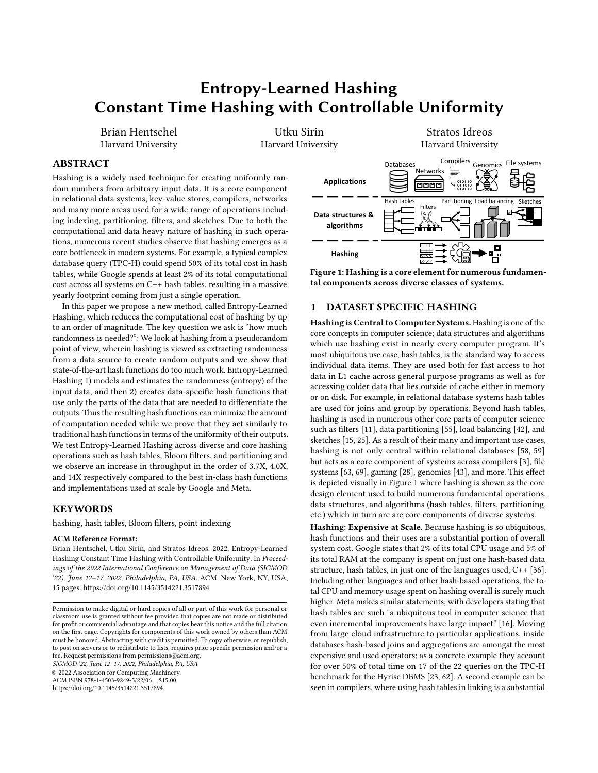3) dividing this by  $\frac{f^2}{2}$  where *E* is the number of items in *+* . From Lemma [1,](#page-3-2) this gives an unbiased estimate of the collision probability. To get an estimate  $\hat{i}_2$  of the entropy, we take the negative log of this number.

Given this estimator, the natural question to ask is "how many samples are needed?". The techniques of [\[4,](#page-13-30) [46\]](#page-13-31) use the birthday paradox to answer this question; namely, if we want to say that the entropy is at least some value  $2$  with confidence, we need  $$^{1}2$  <sup>2</sup><sup>20</sup> samples. As we will show in Section [4,](#page-4-0) data structures or algorithms storing = elements will generally need  $_2$  to grow at a rate of  $log_2 =$ , suggesting  $\frac{1}{2}$ <sup>1</sup> =<sup>1</sup>  $\frac{1}{2}$ ° samples is enough to say with probability approaching 1 whether or not  $l^{1-\circ}$  has enough entropy for a given task. Giving a concrete example, when using E validation samples a 99% confidence estimator for the entropy  $\overline{\phantom{a}}$  $\hat{c}_2$  2

is: <sup>2</sup> min  $\log_2 \frac{f^2}{40}$ with probability 0"99. Thus if our data

structure needs entropy  $2 = \log_2 =$ , setting  $\left| \int \frac{p}{40} \right|$  is enough validation samples to say with high probability whether or not  $!^{1-0}$  has the required entropy. More details can be seen on this analysis in the technical report [\[29\]](#page-13-25).

The most important takeaway is the fact that the number of validation samples needed both varies with the data size and also grows slowly with the data size. Thus, when we want to use Entropy-Learned hashing on small data, the sample can be small because we only need to make sure it has just enough entropy. When the data is large, the number of samples needed grows but much more slowly than the data size.

# <span id="page-4-0"></span>4 CONNECTING ENTROPY TO DATA STRUCTURE PERFORMANCE

The next step in Entropy-Learned Hashing is understanding the entropy needed for a given system task, i.e., a data structure or algorithm used in a system. As Figure [1](#page-0-0) shows, hashing is used in a range of diverse systems to implement data structures and algorithms for various complex operations. We study specifically the entropy needed by three of the mostly widely used tasks, namely:

- (1) Hash tables which are the default way to access data by equality, and which are widely used across general purpose programs including relational systems and key-value stores.
- (2) Bloom filters which are used to reduce accesses to a set and are used in databases to reduce the costs of joins in OLAP systems as well as point queries in key-value stores.
- (3) Partitioning which is a core step in numerous algorithms.

Each of these tasks has multiple metrics of interest, including: CPU cost, memory footprint, throughput, false positive rate, and much more. The three hash-based operations above present a diverse set of expressions of these metrics. For example, Bloom filters have small memory footprint compared to the other components, while they all have drastically different characteristics in terms of output write patterns which affects the overall throughput.

By creating cheaper to compute hash functions we improve the computational efficiency; what is left to show is that the small increase in expected collision probability does not result in significant degradation on other metrics. For hash tables, the metric of interest for performance is the number of comparisons needed to retrieve a

key. For Bloom filters, it is the false positive rate and for Partitioning the variance of the distribution of data amongst bins.

There are two takeaways from the analysis in this section. The first is that we can argue formally about the needed entropy from partial-keys for data structures to behave as desired. This allows us to design Entropy-Learned hash functions which bring end-toend performance benefits. Second, the analysis shows that across all tasks, Hash tables, Bloom filters, and Partitioning, the needed amount of Renyi entropy in  $1^{1}$ -<sup>o</sup> is approximately  $log_2 =$  plus a constant 2. Thus, for a fixed dataset size, hashing needs only a constant number of bytes for enough uniformity in output and can be independent of key size. Additionally, the dependence on = reaffirms our central thesis and further clarifies where Entropy-Learned Hashing is most useful: for large (hence random) objects or small datasets state-of-the-art hash functions do more work than necessary. The value of 2 depends on how much collisions affect a data structure; for instance, hash collisions in Bloom filters produce a certain false positive and so this has a high value of 2, whereas for hash tables a collision produces an extra comparison which is more tolerable and so 2 is lower.

#### 4.1 Hash Tables

Two prototypical designs of hash tables are separate chaining and linear probing [\[20\]](#page-13-32). Separate chaining stores an array of linked lists. To query for an item, separate chaining hash tables 1) perform a hash calculation to get a slot  $0$  between  $0$  and  $\lt$  1 and then 2) traverse the linked list at slot  $\theta$  until either the key is found or the end of the list is reached (the key is not present). Linear probing stores an array of keys and queries the table by 1) performing a hash calculation to get an initial slot  $\theta$ , and then 2) traversing the array in sequential order until either the key is found, or until an empty slot is found (the key is not present). Separate chaining tables are easier to manage and analyze because collisions only matter for the same slot, however they have poor data locality because of many pointer traversals and require extra space for the many pointers. In contrast, linear probing offers better performance but is more difficult to analyze and manage because of complex dependencies between hash values.

#### 4.1.1 Hash Tables: Separate Chaining.

Fixed Data. We first analyze separate chaining hash tables when the data is known which is an important class of indexed data. We then show this analysis translates from known data to random data.

Given  $\left( \begin{array}{cc} | \end{array} \right) = \begin{array}{cc} | \end{array}$   $\left| \begin{array}{cc} I^{\circ} \end{array} \right|$ , when querying for an item ~ not in , the expected number of comparisons  $\frac{1}{2}$  is

$$
E \times 8^0 j \sim 1 = 1
$$
  $\frac{1}{2}$   $\frac{1}{3}$   $\frac{1}{5}$   $\frac{1}{2}$   $\frac{1}{2}$   $\frac{1}{2}$ 

This is because the (likely 0)  $l<sub>z</sub>$  items which have the same partial key for sure are in the same slot, and the other =  $\int$  items have 1•< chance of being in the same slot. This cost of querying for a missing key is also equal to the cost of adding a new item into the hash table, and this relationship holds true for linear probing as well. This is because additions first verify the item is missing and then put the item into the first empty slot they find.

By the same logic, querying for a key G in costs 1,  $\frac{1}{2}$ <sup>1</sup>/<sub>G</sub>  $1 \int_{0}^{\frac{\pi}{2}} \frac{I_{G}}{6}$  comparisons on average. The leading 1 is because the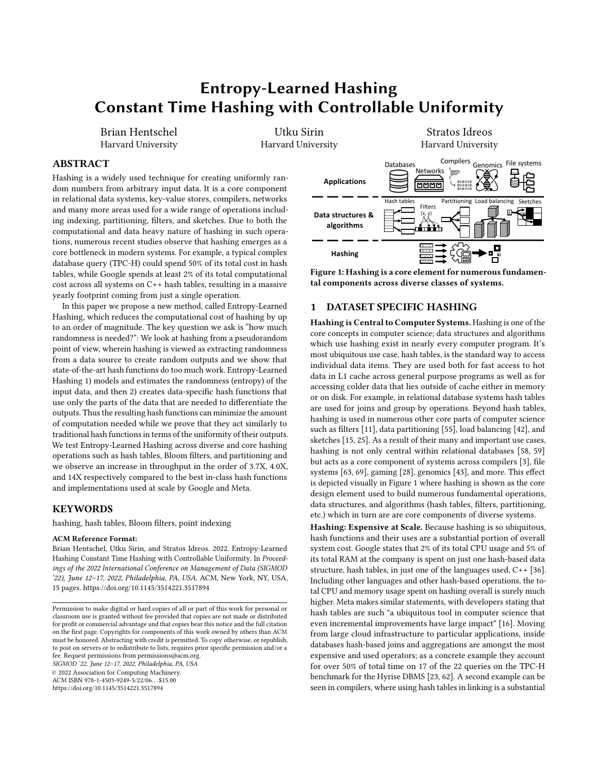query key for sure compares with itself, and the second term is 1•2 times the expected number of items in the same slot as G. Summing across all data, the average cost % of querying for a key satisfies:

E\*%  
1 
$$
\frac{1}{2}U \frac{1}{2} \frac{1}{2} \frac{1}{G^2}
$$

Random Data. When generalizing partial-key hashing to unseen (random) data, the above equations can be viewed as conditional expectations where we condition on the data. By using Adam's Law, i.e.  $\sqrt[n]{-1} = \sqrt[n]{-1}$ .  $\sqrt[k]{n}$ , we can average over the possible produced datasets given by the random data. Using the union bound and Lemma [1,](#page-3-2) the expected cost of querying for a missing key and the average cost for querying for a key satisfy

$$
E \times \frac{1}{2} \left( \frac{1}{2} \right) = 2 \quad 2^{-1} \cdot \frac{1}{2} = 2 \tag{1}
$$

$$
E \times W = 1 \t{1} \t{1} \t{1} \t{2} \t{1} \t{2} \t{1} = 1^0 2 \t{1} \t{1} \t{1} \t{2} \t(2)
$$

U

Comparison with Full-Key Hashing. For full key hashing, the corresponding costs for querying for a missing key and the average cost to query for a key are

$$
E \times 8^{0} = U
$$
  
\n
$$
E \times 8\% = 1 \quad \frac{1}{2} = \frac{1}{2} \quad 1 \quad \frac{1}{2}
$$

This shows the tradeoff between partial key hashing and full key hashing. The number of comparisons is lower for full-key hashing, but this advantage goes exponentially fast to 0 as the entropy of the partial key hash increases. At the same time, the partial-key hash is significantly cheaper to compute.

Looking at the required relationship between = and the needed entropy of the input sub-keys further clarifies when and why partialkey hashing is useful. When  $2^{1}$ !<sup>1</sup>-<sup>oo</sup> *i* log<sub>2</sub> =, the number of extra comparisons needed drops below 1 and continues to drop exponentially fast with more entropy. Since hashing objects is more expensive than comparing them, this point represents near definite savings; the hash computation for the table is much faster while the work after the hash function is nearly the same.

#### 4.1.2 Hash Tables: Linear Probing.

Because of the complex dependencies between hash values and collisions, linear probing is significantly more complicated to analyze resulting in lengthier proofs. We provide a high level overview of the results while all detailed proofs can be found at the technical report [\[29\]](#page-13-25). We start with full-key hashing. We analyze the expected length of a full chain ) for a new item added to the hash table. The chain includes the empty position on a chain's right side but not on its left side. Figure [3](#page-5-0) shows an example.

Full-Key Hashing. In the technical report [\[29\]](#page-13-25), we provide a novel analysis of linear probing showing that the expected length of ) satisfies  $\sum_{i=1}^{\infty}$  =  $\&&A_1^{-1}$  < =  $\circ$  where  $G$  is the : -th falling power and  $\mathcal{R}_{\beta}^{-1} < \cdot = 0 = \begin{bmatrix} 1 & & \cdots & 0 \\ 0 & 0 & \cdots & 0 \end{bmatrix} \frac{d\mathcal{L}_{\beta}}{dt}$  $\frac{dE}{dt}$ . For a new item, each location in a probe chain is equally likely as a hash location and so the expected probe cost given ) is  $\sqrt[3]{\frac{1}{2}}$   $\sqrt[3]{\frac{1}{2}}$  =  $\frac{1}{2}$   $\sqrt[3]{\frac{1}{2}}$  Using Adam's law, it follows that

$$
\mathcal{H}^0\mathcal{H} = \frac{1}{2} \mathbf{1}_{\circ} \mathcal{R}_1 \mathbf{1} < \bullet = ^{00} \frac{1}{2} \mathbf{1}_{\circ} \frac{1}{\mathbf{1}_{\circ} \frac{1}{\mathbf{1}_{\circ} \mathbf{1} \mathbf{1}^2} \mathbf{1}_{\circ}^2}
$$

which matches the known equations given by Knuth in [\[32\]](#page-13-33).

X Hash location *T* First empty locat

<span id="page-5-0"></span>Figure 3: Example of a linear probing chain.

The average cost to query a key is then equal to the average cost to insert each key. Since the insertion cost  $\partial^8 \mathbb{N}$  depends on =, we use  $\mathscr{C}_{g}^0$  to denote the cost when there are  $\ell$  keys in the table. The average cost to query a key is then

$$
\mathcal{H} = \frac{1}{\mathcal{S}} \sum_{g=0}^{\infty} \mathcal{H}^{0}_{g} = \frac{1}{2} \mathbf{1}_{g} \& 0 \quad \text{for} \quad \frac{1}{2} \mathbf{1}_{g} \cdot \frac{1}{1 - U} \text{,}
$$

<span id="page-5-4"></span><span id="page-5-3"></span>**Partial-Key Hashing: Fixed Data.** When given  $\int_{\mathbb{R}^2} e^{-\frac{1}{2}t} dt = \int_{\mathbb{R}^2} t e^{-\frac{1}{2}t} dt$ the expected length of the probe chain ) depends on the number of partial key matches for the inserted key ~, and satisfies

$$
\mathbf{B} \mathbf{B} \mathbf{B}^{-1} < t = 0 \quad J < \mathbf{B} \mathbf{B} \mathbf{B}^{-1} < t = 0
$$
\n
$$
\frac{1}{11 - U^{0} 2} \cdot \frac{1}{1 - U} \mathbf{S} \mathbf{S}^{-1} < \frac{1}{6} \mathbf{B}^{-1} < t = 0
$$

When the new key is unique, the most common scenario when  $2^{1}$ <sup>1</sup>  $-$ <sup>oo</sup> is high, each location in the probe chain is equally likely and so  $\sqrt[3]{\frac{1}{2}}$   $\sqrt[3]{\frac{1}{2}}$ . However, when the new key is not unique, each position in the chain is no longer equally likely. Thus we make the worst case assumption that it is at the end of the probe chain.

<span id="page-5-1"></span>
$$
\mathbf{y}_{\mathcal{B}}^{0}\mathbf{y}_{\mathcal{B}} \qquad \qquad \mathbf{z}_{1} \qquad \mathbf{z}_{2} \qquad \mathbf{z}_{3} \qquad \mathbf{z}_{4} \qquad \mathbf{z}_{5} \qquad \qquad \mathbf{z}_{5} \qquad \qquad \mathbf{z}_{6} \qquad \qquad \mathbf{z}_{7} \qquad \qquad \mathbf{z}_{8} \qquad \qquad \mathbf{z}_{9} \qquad \qquad \mathbf{z}_{1} \qquad \qquad \mathbf{z}_{1} \qquad \qquad \mathbf{z}_{1} \qquad \qquad \mathbf{z}_{1} \qquad \qquad \mathbf{z}_{1} \qquad \qquad \mathbf{z}_{1} \qquad \qquad \mathbf{z}_{1} \qquad \qquad \mathbf{z}_{1} \qquad \qquad \mathbf{z}_{1} \qquad \qquad \mathbf{z}_{1} \qquad \qquad \mathbf{z}_{1} \qquad \qquad \mathbf{z}_{1} \qquad \qquad \mathbf{z}_{1} \qquad \qquad \mathbf{z}_{1} \qquad \qquad \mathbf{z}_{1} \qquad \qquad \mathbf{z}_{1} \qquad \qquad \mathbf{z}_{1} \qquad \qquad \mathbf{z}_{1} \qquad \qquad \mathbf{z}_{1} \qquad \qquad \mathbf{z}_{1} \qquad \qquad \mathbf{z}_{1} \qquad \qquad \mathbf{z}_{1} \qquad \qquad \mathbf{z}_{1} \qquad \qquad \mathbf{z}_{1} \qquad \qquad \mathbf{z}_{1} \qquad \qquad \mathbf{z}_{1} \qquad \qquad \mathbf{z}_{1} \qquad \qquad \mathbf{z}_{1} \qquad \qquad \mathbf{z}_{1} \qquad \qquad \mathbf{z}_{1} \qquad \qquad \mathbf{z}_{1} \qquad \qquad \mathbf{z}_{1} \qquad \qquad \mathbf{z}_{1} \qquad \qquad \mathbf{z}_{1} \qquad \qquad \mathbf{z}_{1} \qquad \qquad \mathbf{z}_{1} \qquad \qquad \mathbf{z}_{1} \qquad \qquad \mathbf{z}_{1} \qquad \qquad \mathbf{z}_{1} \qquad \qquad \mathbf{z}_{1} \qquad \qquad \mathbf{z}_{1} \qquad \qquad \mathbf{z}_{1} \qquad \qquad \mathbf{z}_{1} \qquad \
$$

When translating from  $\frac{1}{8}^0$  to %, we again have that  $\sqrt[3]{\frac{1}{8}}$  =  $\begin{bmatrix} 1 \ \frac{1}{8} & \frac{1}{8} \\ \frac{1}{8} & \frac{1}{8} \end{bmatrix}$  Since the cost of inserting each key is no longer the same, there is the question of how to evaluate this expression. Here, we make use of a fact first noticed in [\[52\]](#page-13-34), that the average cost of querying is equal for any order in which the items are inserted. Thus, in evaluating  $\sqrt[3]{\frac{8}{9}}$   $\sqrt[3]{\frac{4}{9}}$   $\sqrt[3]{\frac{8}{9}}$  we may choose the insertion order of the items. Inserting all keys with non-unique partial-keys first and then inserting all keys with unique partial-keys gives the following bound for »%¼.

<span id="page-5-2"></span>
$$
\sqrt[3]{8}
$$
\n
$$
\frac{1}{2} = \frac{3}{2} \left( \frac{1}{2} 80^{1} < t = 0 \right) \left( \frac{2}{3} 80^{1} < t = 0 \right) \left( \frac{2}{2} \right) \left( \frac{3}{2} 80^{1} < t \right)
$$
\n
$$
\frac{1}{2} \left( \frac{1}{2} 1 \right) \left( \frac{1}{2} \right) \left( \frac{2}{2} \right) \left( \frac{1}{2} \right) \left( \frac{1}{2} \right)
$$
\n
$$
\frac{1}{2} \left( \frac{2}{2} 0 \right) \left( \frac{1}{2} \right) \left( \frac{1}{2} \right) \left( \frac{1}{2} \right)
$$
\n
$$
(4)
$$

We use 2 =  $\int_{G}$   $l_{G}^{2}$  for the number of collisions and 3 =  $\int_{G:l_{G}^{2}}$  2  $l_{G}$ as the number of items that are duplicated keys. The above approximation assumes that  $3 \cdot \langle$  is small, which is the case whenever most keys are unique. This holds true with probability near 1 if entropy is sufficiently large.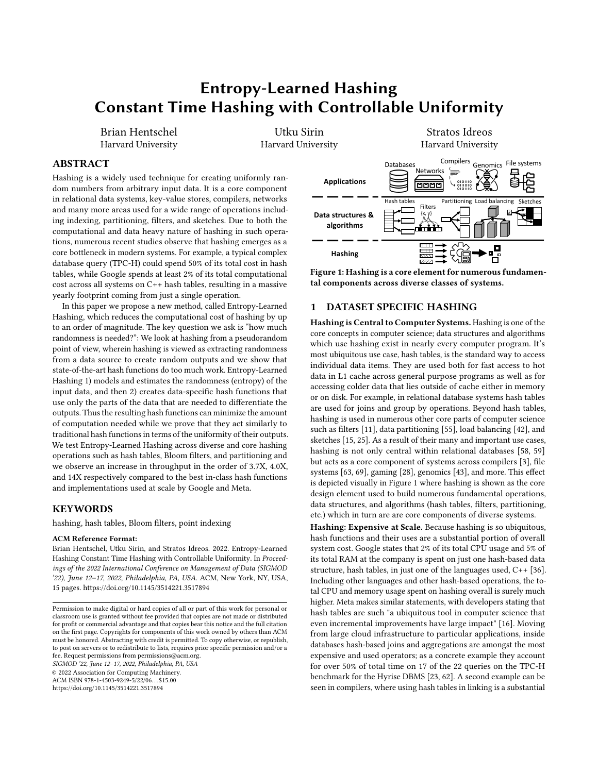Random Data. Using equations [\(3\)](#page-5-1), [\(4\)](#page-5-2), and Lemma [1](#page-3-2) as well as Adam's Law, we have

$$
\mathscr{W}^{0}\mathscr{C} \qquad \frac{1}{2} 1 \qquad \frac{1}{11} \qquad U^{02} \qquad \frac{1}{11} \qquad U^{2} \qquad \frac{1}{11} \qquad U^{02} \qquad \frac{1}{11} \qquad U^{02} \qquad \frac{1}{11} \qquad \frac{1}{11} \qquad \frac{1}{11} \qquad \frac{1}{11} \qquad \frac{1}{11} \qquad \frac{1}{11} \qquad \frac{1}{11} \qquad \frac{1}{11} \qquad \frac{1}{11} \qquad \frac{1}{11} \qquad \frac{1}{11} \qquad \frac{1}{11} \qquad \frac{1}{11} \qquad \frac{1}{11} \qquad \frac{1}{11} \qquad \frac{1}{11} \qquad \frac{1}{11} \qquad \frac{1}{11} \qquad \frac{1}{11} \qquad \frac{1}{11} \qquad \frac{1}{11} \qquad \frac{1}{11} \qquad \frac{1}{11} \qquad \frac{1}{11} \qquad \frac{1}{11} \qquad \frac{1}{11} \qquad \frac{1}{11} \qquad \frac{1}{11} \qquad \frac{1}{11} \qquad \frac{1}{11} \qquad \frac{1}{11} \qquad \frac{1}{11} \qquad \frac{1}{11} \qquad \frac{1}{11} \qquad \frac{1}{11} \qquad \frac{1}{11} \qquad \frac{1}{11} \qquad \frac{1}{11} \qquad \frac{1}{11} \qquad \frac{1}{11} \qquad \frac{1}{11} \qquad \frac{1}{11} \qquad \frac{1}{11} \qquad \frac{1}{11} \qquad \frac{1}{11} \qquad \frac{1}{11} \qquad \frac{1}{11} \qquad \frac{1}{11} \qquad \frac{1}{11} \qquad \frac{1}{11} \qquad \frac{1}{11} \qquad \frac{1}{11} \qquad \frac{1}{11} \qquad \frac{1}{11} \qquad \frac{1}{11} \qquad \frac{1}{11} \qquad \frac{1}{11} \qquad \frac{1}{11} \qquad \frac{1}{11} \qquad \frac{1}{11
$$

$$
\sqrt[3]{6}\frac{1}{2}^{1}1 \cdot \frac{1}{1-U}^{0} = 2^{-2^{1/1 - 00}}1 \cdot \frac{1}{1-U}^{0}
$$
 (6)

Comparison With Full-Key Hashing. The tradeoffs between partial-key hashing and full-key hashing are similar to separate chaining. Again, we have a slight increase in comparisons as a tradeoff for significantly faster hash function evaluation. The expected number of comparisons again drops exponentially fast with the source entropy and  $2^{1}$ !  $-$ <sup>00</sup> needs only to be in the same order of magnitude as  $\log_2 1 = 0$  for the extra needed comparisons to be small. Thus, as before, partial-key hashing makes the work of computing hash functions significantly cheaper while the work after the hash function is near identical, producing a net performance benefit.

#### 4.2 Bloom Filters

For Bloom filters, the central trade-off is between the speed of the filter and the false positive rate (FPR) of the filter. As the number of bytes given as input to the hash becomes smaller, hashing becomes faster but there is a greater possibility of a partial-key collision, creating a certain false positive.

More formally, let  $\frac{w}{2}$   $\leftarrow$   $\frac{1}{2}$  denote the false positive rate of a Bloom Filter using < bits, storing = items and using a hash function . For a Bloom Filter using partial-key hash  $\theta =$  !, its number of set bits is a function of the number of distinct items fed to  $\Box$  . If no keys collide on  $\cal I$ , then it becomes a traditional Bloom Filter storing = items and using . If there are =  $\hat{y}$  / = distinct items after  $\prime$ , then the resulting filter structure has the same number of set bits as one containing =  $\theta$  items. So for query key ~ 8  $\theta$ , it has a false positive rate of  $\mathscr{U}^1 \lt \mathscr{V}^{-1}$ , whereas if  $\sim 2$  *i* thas a false positive rate of 1. It follows that our Bloom Filter using  $\theta$  has exactly the following false positive rate:

$$
\mathcal{X}^{\prime 1} < \cdots \quad {}^{00} = P^{1} \cdot {}_{1}^{1} 2 \quad {}_{1}^{0} \quad \mathcal{X}^{\prime 1} < \cdots = {}^{0} \cdot {}^{0} \tag{7}
$$

The second term is less than  $\frac{w}{i}$  '  $\leq -\frac{1}{2}$  as Bloom Filters' false positive rates increase with the number of items stored. If keys and non-keys are very different conditioned on the set of bytes !, then it is possible to make the FPR less than that of a standard Bloom filter by having =  $\hat{V} \hat{V}$  = and P<sup>1</sup>. <sub>|</sub> $\hat{l}$  2  $\hat{l}$ <sup>o</sup> 0. However, we will generally ignore this case and focus on the case where keys and non-keys have the same distribution conditioned on !. In this case, a convenient bound for [\(7\)](#page-6-0) is

$$
\% ' 1 < \bullet = \bullet \quad 0 \quad \text{P1. } \frac{1}{2} \quad 2 \quad 1^{\circ} \quad \frac{1}{2} \quad \frac{1}{2} \quad \frac{1}{2} \quad \frac{1}{2} \quad \frac{1}{2} \quad \frac{1}{2} \quad \frac{1}{2} \quad \frac{1}{2} \quad \frac{1}{2} \quad \frac{1}{2} \quad \frac{1}{2} \quad \frac{1}{2} \quad \frac{1}{2} \quad \frac{1}{2} \quad \frac{1}{2} \quad \frac{1}{2} \quad \frac{1}{2} \quad \frac{1}{2} \quad \frac{1}{2} \quad \frac{1}{2} \quad \frac{1}{2} \quad \frac{1}{2} \quad \frac{1}{2} \quad \frac{1}{2} \quad \frac{1}{2} \quad \frac{1}{2} \quad \frac{1}{2} \quad \frac{1}{2} \quad \frac{1}{2} \quad \frac{1}{2} \quad \frac{1}{2} \quad \frac{1}{2} \quad \frac{1}{2} \quad \frac{1}{2} \quad \frac{1}{2} \quad \frac{1}{2} \quad \frac{1}{2} \quad \frac{1}{2} \quad \frac{1}{2} \quad \frac{1}{2} \quad \frac{1}{2} \quad \frac{1}{2} \quad \frac{1}{2} \quad \frac{1}{2} \quad \frac{1}{2} \quad \frac{1}{2} \quad \frac{1}{2} \quad \frac{1}{2} \quad \frac{1}{2} \quad \frac{1}{2} \quad \frac{1}{2} \quad \frac{1}{2} \quad \frac{1}{2} \quad \frac{1}{2} \quad \frac{1}{2} \quad \frac{1}{2} \quad \frac{1}{2} \quad \frac{1}{2} \quad \frac{1}{2} \quad \frac{1}{2} \quad \frac{1}{2} \quad \frac{1}{2} \quad \frac{1}{2} \quad \frac{1}{2} \quad \frac{1}{2} \quad \frac{1}{2} \quad \frac{1}{2} \quad \frac{1}{2} \quad \frac{1}{2} \quad \frac{1}{2} \quad \frac{1}{2} \quad \frac{1}{2} \quad \frac{1}{2} \quad \frac{1}{2} \quad \frac{1}{2} \quad \frac{1}{2} \quad \frac{1}{2} \quad \frac{1}{2} \quad \frac{1}{2} \quad \frac{1
$$

which is the FPR of a standard Bloom filter plus the probability that the query key matches some item in the key set on the bytes !.

Using the union bound, equation [\(8\)](#page-6-1) translates to:

$$
\% ' 1 < \bullet = \bullet \quad \stackrel{0}{\circ} \qquad = 2 \quad \stackrel{2}{\circ} \quad \stackrel{1}{\circ} \quad \stackrel{1}{\circ} \quad \stackrel{0}{\circ} \quad \frac{\% ' 1}{\circ} \quad \bullet = \bullet \quad \stackrel{0}{\circ} \tag{9}
$$

Comparison With Full-Key Hashing. The above analysis reaffirms the central takeaway of our analysis of hash tables; the entropy of the dataset needs to be on the order of  $log_2 =$ . For Bloom filters, a reasonable additional goal is that the increase in FPR be no more than some chosen Y. In this case, we need

 $2^{1}$ ! $1^{-\infty}$  *i*  $\log_2 = \log_2 1$   $\cdot \sqrt{P}$ . So an additional entropy term is needed to say that collisions are very rare for new partial-keys. As we show in our experiments, datasets often have this surplus entropy and so the Bloom Filter becomes significantly faster without suffering any false positive rate increase.

#### Partitioning & Load Balancing

With Partitioning the goal is to distribute = items, e.g., tuples or computational tasks, to a set of < bins. Here, we characterize how even this allocation is by analyzing the variance of the number of items assigned to each bin when each input key is unique. At lower variances, each bin is distributed closely around the average number of items =•< whereas higher variance suggests the bins are highly uneven. One important challenge comes when keys are skewed and heavy hitters exist. While challenging, the unevenness comes from the existence of heavy hitters rather than the quality of the hash function, and so we focus on the hash quality by considering the partitioning of all unique items.

Full-Key Hashing. With full-key hashing, the variance of each bin is the variance of a binomial with = balls each with probability 1•<. Thus for a specific bin, its number of assigned objects . has +  $OA^1$ .  $\circ = \frac{1}{\leq}$   $\frac{1}{\leq 2}$ .

Partial-Key Hashing: Fixed Data. The probability of each key in ! being assigned to a specific bin is distributed as an independent Bernoulli trial with probability  $\frac{1}{\leq}$ . Letting 1  ${}_{0}^{0}C_{-\beta}$  be the event that  $G$  was hashed to bin  $\ell$ , the variance of the number of objects . assigned to bin  $\ell$  is

$$
+0A^{1}.\ jj\prime^{o}=+0A^{1}\bigodot_{G^{2}j\prime}I_{G^{1}\rightarrow G^{o}=B^{o}}^{O}=1=0\bigodot_{G^{2}j\prime}I_{G^{o}}^{2}I_{G}^{1}\frac{1}{\leq1}\frac{1}{\leq2^{o}}
$$

<span id="page-6-0"></span>Partial-Key Hashing: Random Data. For random data, we use the same conditioning arguments as before. Using Eve's Law, i.e. +  $0A^1$ .  $\circ$  =  $E^* + 0A^1$ . j  $I^{\circ\mu}$  +  $0A^1E^*$ . j  $I^{\psi}$ , we can calculate the variance on random data. First, we note that for any set  $\rightarrow$ , the value of ».  $\vert$  / \lat is =  $\bullet$  < by the randomness of the hash function (each bin is equally likely to contain any item). Thus  $+ O A^{\dagger} E \rightarrow \iota \nu^{\otimes} = 0$ and again using Lemma [1,](#page-3-2) we have

$$
+0A^{1}
$$
. <sup>0</sup> 11 <sub>0</sub> =2  $2^{1}1^{1} - 0001 \frac{1}{2}$   $\frac{1}{2} = 0$  (10)

**Comparison With Full-Key Hashing.** As before,  $2 / \log_2 =$  is enough for partial-key hashing to have similar variance to full-key hashing in terms of absolute terms. Thus, as in prior cases, once  $_2$  *i*  $\log_2$  = we have faster computation in terms of partitioning without sacrificing on the quality of our partitioning.

<span id="page-6-1"></span>An important secondary argument for load balancing is whether we care about the absolute deviation from the mean or the percentage deviation away from the mean. While the absolute variance grows with =, the relative standard deviation, i.e. the standard deviation over the mean, of the bins decreases with = so that it becomes less and less likely that some bin has G% more than its expectation. In particular, the relative standard deviation is less than

<span id="page-6-2"></span>r < = p 1 ¸ =2 <sup>2</sup> <sup>¹</sup>!¹-ºº p <2 <sup>2</sup> ¹!¹-ºº (11)

Since the expected distance from the mean for a binomial is dominated by its standard deviation [\[12\]](#page-13-35), the above statement actually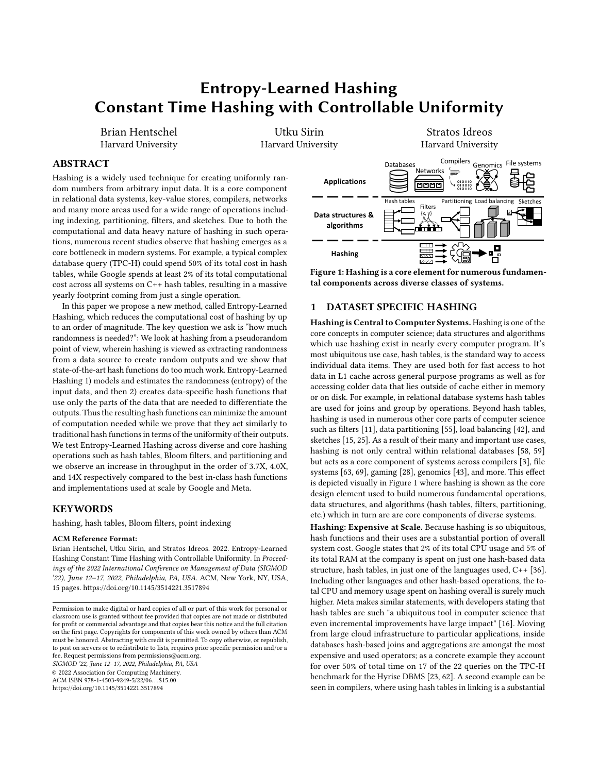<span id="page-7-1"></span>

| Start Location<br>8-byte Word | <b>Fstimated</b><br>Entropy | Capacity of separate chaining hash table<br>10,000 |
|-------------------------------|-----------------------------|----------------------------------------------------|
| 48<br>40                      | 11.3<br>22.4                | Chosen Bytes<br>$40 - 47, 48 - 55$                 |
| 56                            | 29.1                        |                                                    |
| 80                            | 29.2                        | Average Added Comparisons                          |
| 72                            | infty                       | $2 - 22.4$<br>$* 10000 = 0.001$                    |

Figure 4: The amount of bytes needed is based on the data and the current data structure capacity.

says that a bin's expected proportional deviation away from its mean is less than [\(11\)](#page-6-2). So for instance, if we want a partition to be within 5% of its mean on average, we can achieve this by having 2  $2\log_2 \frac{1}{0.05}$ ,  $\log_2$  <.

Thus partitioning and load balancing have two regimes with regards to Entropy-Learned Hashing. When small absolute variance is required, we need  $2^{1}$ !  $1^{1-\infty}$  *i*  $\log_2$  =; however, when = is large and we are simply interested in bins being relatively similar sizes, we can let  $2^{1}$ !<sup>1</sup>-<sup>00</sup> be greater than  $\log_2$  < plus a small constant, where the constant controls how much deviation is allowed.

#### <span id="page-7-0"></span>5 RUNTIME INFRASTRUCTURE

Section [3](#page-2-1) showed how to estimate the entropy of datasets when conditioned on partial-keys and Section [4](#page-4-0) showed how much entropy is needed for important hashing-based tasks. This section brings everything together by explaining how to utilize Entropy-Learned Hashing at run time: namely, given a hash-based task and analysis of a dataset, choose the Entropy-Learned Hash function to have just enough randomness. Additionally, this section covers runtime infrastructure related to robustness so that Entropy-Learned Hashing retains the trustworthiness of traditional hash data structures.

Creating Hash Tables. Hash tables have a maximum capacity beyond which they need to rehash the stored items into a new larger table. This keeps the load factor low and therefore query times low. For Entropy-Learned Hashing, we use this maximum capacity before rehashing to decide !. In particular, for separate chaining hash tables, we choose ! such that  $2^{1}$ !  $1^{1-00}$  i  $\log_2 = 1$ , where = is the maximum number of items the current table will hold before rehashing. For linear probing hash tables, we choose ! so that  $2^{1}$ !  $\infty$   $i$   $\log_2 = \log_2 5$ . Both values are chosen based on the equations governing the number of comparisons, i.e. equations [\(1\)](#page-5-3), [\(2\)](#page-5-4), [\(3\)](#page-5-1), and [\(4\)](#page-5-2), and make sure the number of comparisons executed using partial-key hashing and full-key hashing are similar. An example of how the current capacity is used to choose ! is shown in Figure [4,](#page-7-1) where an initial table with capacity 1000 uses just the 8-byte word at location 48 to hash keys.

As the capacity of a hash table changes (as new items are inserted), a rehash is triggered causing each item to be reinserted. Entropy-Learned Hash tables uses this opportunity to change the hash function; for instance, when key 1001 is inserted into the hash table from Figure [4,](#page-7-1) a rehash is triggered causing the table to grow. If the new capacity is above  $2^{11}$ <sup>3</sup> = 2521, the partial-key function adds another word to increase entropy to the required amount. As a result, the hash table maintains just the right amount of entropy needed throughout its life cycle, using as cheap a hash function as possible without adding substantial extra collisions.

Bloom Filters. Bloom Filters need an estimate on the number of items they will hold before their creation. This is because, without

access to their base items, they have no access to grow the number of bits being used. While there are techniques around this [\[5\]](#page-13-36), these come with space and computation tradeoffs and it remains true that standard Bloom filters need an up-front estimate of the number of data items. For Entropy-Learned Hashing, this makes it simple to choose the hash function. Given a maximum number of items = and an allowable added FPR of Y, we set the partial-key hash function to have entropy  $2^{1}l^{1-\infty}$  *i*  $\log_2 = \log_2 1 \cdot \sqrt{2}$ .

Partitioning. For partitioning we require an estimate on the maximum number of items to be partitioned. We also need user input on how even they want partitions to be. If absolute variance is of primary importance (so that partitions are unlikely to vary by more than some # of tuples regardless of partition size), then setting  $2^{1}$ !  $-$  <sup>00</sup>  $i$  log<sub>2</sub> =  $\sqrt{2}$  2 assures that variance is no more than <sup>1</sup>1,  $\frac{1}{2}$  <sup>2</sup><sup>2</sup> times its usual amount. The default value of 2 which we use is 3. When relative variance is more important, and users need partitions to be roughly even (i.e. within 100c% of each other's size), we set  $2^{1}$ !  $1 - 80$   $\jmath \log_2 2$  as dictated by equation [\(11\)](#page-6-2). We use  $2 = 0$  "05 by default so that partitions are expected to be within 5% of their expected size.

Robustness. While Entropy-Learned Hashing makes only weak assumptions, namely that data which are somewhat random remain somewhat random, it recovers good performance quickly when assumptions are violated. Entropy-Learned Hashing is the most robust for hash tables. This is for multiple reasons, namely: 1) if collisions are as expected on items in the dataset, queries for both keys in the data and not in the data return quickly (Section [4\)](#page-4-0), 2) hash tables can monitor collisions during insertions with little overhead, and 3) rehashing is an acceptable operation in hash tables by default (it occurs in all standard hash table libraries). This third point is the most key, and Entropy-Learned Hashing can rehash hash tables if collisions ever deviate from what is expected, falling back to full-key hashing if needed. For Bloom filters, their # of set bits concentrates sharply around their expected value [\[14\]](#page-13-37), and this fact is used during construction of Entropy-Learned Bloom filters to validate that the data items fit the expected level of randomness. However, if they do not, or if queries are substantially different than the inserted items, the filter must be rebuilt. For partitioning, the cost of overloaded bins depends on the context, but for many contexts, such as in-memory radix partitioning, this can be solved by dividing the one or two overloaded bins into multiple bins. Section [5](#page-7-0) of the technical report covers robustness in more detail.

#### 6 EXPERIMENTAL EVALUATION

We now demonstrate that, by identifying and utilizing surplus randomness in data, Entropy-Learned Hashing brings critical performance benefits against the top hash functions used at scale today by Google and Meta and across a diverse set of hash-based core components of modern systems.

Our experimental evaluation consists of 3 parts. The first part, which contains the bulk of our experiments, shows that Entropy-Learned Hashing produces sizable benefits of up to 3.7 , 4.0 , and 14 for common medium-sized key types such as URLs and text data. The second part of our experimental section covers benefits from Entropy-Learned Hashing on large keys such as those that would appear in deduplicating file blocks, with speedups of several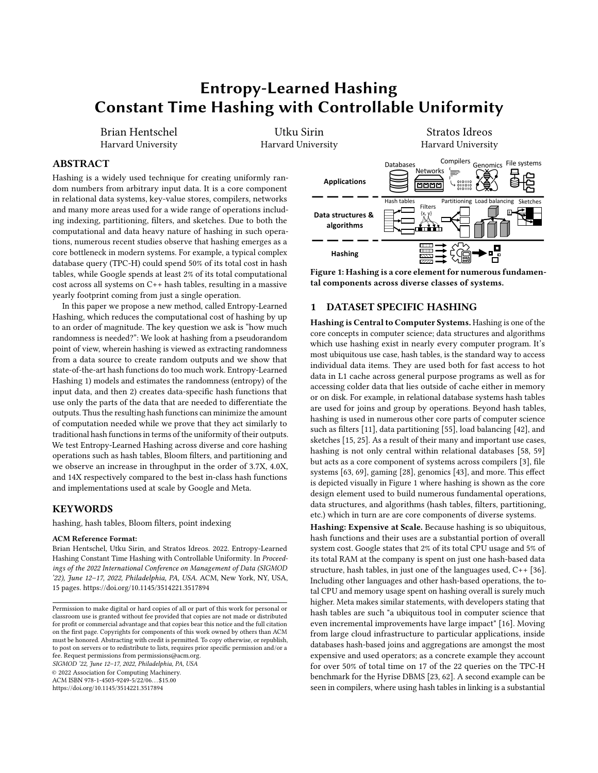orders of magnitude. Finally, we cover training time for Entropy-Learned Hashing and present the run times for applying the greedy algorithm to select bytes to hash.

### 6.1 Setup and Methodology

Data Structures and Operations. We use a diverse set of data structures and operations to apply Entropy-Learned Hashing: we test with Hash tables, Bloom filters, and Partitioning.

For hash tables, we compare against Google's hardware-efficient linear-probing hash table implementation, SwissTable [\[27,](#page-13-38) [36\]](#page-13-8). This is the default hash table used in C++ throughout all Google operations, and has been heavily optimized as a result of the large computational footprint of hash tables at Google. A particular implementation note for SwissTable is that it first does linear probing into an array of tag bits (8 bits per key) to see if chosen bits from hash values match, and only if they do, compares the full items. This means probing for keys not in the table is cheaper than probing for keys stored in the table. We also compared against F14, the default hash table used at Facebook [\[16\]](#page-13-9). The results are extremely similar and so we include only results with SwissTable.

For Bloom Filters, we implemented register blocked Bloom filters from [\[37\]](#page-13-39). To cut down hashing time, and thus to be conservative with respect to our benefits, we used a variant of double hashing wherein we compute one 64 bit hash function, split it into two 32-bit hash values, and then use these as the inputs to double hashing [\[31\]](#page-13-40). We also utilize the techniques for fast modulo reduction by multiplication from [\[61\]](#page-14-11).

For partitioning, many of the techniques devised by database research such as software write buffers [\[67\]](#page-14-12) and non-temporal stores [\[10\]](#page-13-41) do not apply to large data types or variable length data types. Thus our partitioning is a simple for loop that computes hash values and writes out data directly to a partition.

Base Hash Functions. We use three state-of-the-art hash functions. For hash tables, we use wyhash, which is one of the two default options used in SwissTable. We use both the version contained in SwissTable as well as the most recent optimized version of wyhash given directly by the author [\[66\]](#page-14-8). For Bloom filters we use xxh3, which is used widely at Facebook and is the default for the Bloom filters in RocksDB [\[19\]](#page-13-17). For partitioning we use the implementation of CRC32 from the OLAP database Clickhouse [\[70\]](#page-14-13). Implementation. We modify each of the three base hash functions. We maintain their basic interface (input is an array of bytes plus a key length), and tightly integrate Entropy-Learned Hashing. Thus there is Entropy-Learned xxh3, Entropy-Learned wyhash, and Entropy-Learned CRC32. The bytes chosen to hash are selected at hash function construction and stored in a const array. The functions read from 30C0»;>20C8>=B»8¼¼ instead of 30C0»8¼, and we use templates to generate efficient code for partial-key hash functions using 1,2,3,4,.. words. These templates modify the initial function to reduce branching statements because of the known length of the partial-key. All implementation is in C++. All experiments for hashbased tasks are in-memory since hash-based tasks typically run in-memory. For example, a hash table should always fit in memory to get good performance while a Bloom filter will also typically reside in memory to protect from expensive disk access. Thus such structures are both created and utilized in memory. When disk is

<span id="page-8-0"></span>

| Processor                                     | <b>Intel Xeon</b> |  |  |
|-----------------------------------------------|-------------------|--|--|
|                                               | E7-4820 v2        |  |  |
| #sockets                                      | 4                 |  |  |
| #cores per socket                             | 8                 |  |  |
| Hyper-threading                               | $2$ -way          |  |  |
| Turbo-boost                                   | $\overline{Off}$  |  |  |
| Clock speed                                   | $2.00$ GHz        |  |  |
| $\overline{\text{L1I}/\text{L1D}}$ (per core) | 32KB / 32KB       |  |  |
| L <sub>2</sub> (per core)                     | 256KB             |  |  |
| $L3$ (shared)                                 | 16MB              |  |  |
| Memory                                        | 1TB               |  |  |

| Dataset     | Avg. key |        |
|-------------|----------|--------|
| name        | length   | # keys |
| UUID        | 36       | 100K   |
| Wikipedia   | 129      | 22K    |
| Wiki        | 22       | 99K    |
| HN URLs     | 75       | 247K   |
| Google URLs | 81       | 1.2M   |

Table 3: Real-world data.

<span id="page-8-1"></span>Table 2: Server Parameters

 $E_{\text{ntrop}}^{20}$ 

 $\Omega$ 



Figure 5: The entropy of a dataset grows quickly with the amount of words being hashed. By 4 words, most datasets support data structures with millions of elements.

involved, the CPU cost of hashing is typically not highly visible in terms of operational latency unless very fast disk devices such as SSDs are used (although CPU usage is still reduced).

Datasets. We use five real-world datasets for experimentation. Two datasets consist of URLs, with one containing the URLs of stored Google Landmarks and the other all URLs posted to Hacker News during 2015 [\[2,](#page-13-42) [45\]](#page-13-43). The other three, UUID, Wikipedia, and Wiki, are database columns taken from a recent research study [\[13\]](#page-13-44). They contain universally unique identifiers, sampled text from Wikipedia, and Wikipedia entry titles respectively. Table [3](#page-8-0) presents the number of items and average key length for each real-world dataset. In addition, we use synthetic data to have finer control over key size and data size. Section [6.3](#page-9-0) uses 80 byte keys with bytes 32-39 drawn randomly from the alphabet (26 possible values), and all other bytes constant. Section [6.6](#page-11-0) uses 8KB keys with each byte ideally random. Experimental Setup. We use an Intel Ivy Bridge server. Table [2](#page-8-0) summarizes the server parameters. We use Debian GNU/Linux 10 operating system. Data structures are queried for a warmup phase before timing and input keys for queries are in cache. We pin the thread to a particular core and locally allocate memory. We use Intel VTune's uarch-exploration [\[30\]](#page-13-45) for performing hardware-level time breakdown and Linux perf [\[39\]](#page-13-46) for performing memory-level parallelism tests and software-level time breakdown.

### 6.2 Number of Words vs. Entropy

Before demonstrating performance results, we first make the idea of surplus randomness more concrete with examples from real data. We show that for many datasets with medium-sized keys, good hashing properties can be achieved for data structures with millions of elements while hashing only parts of the keys. We divide each dataset in Table [3](#page-8-0) in half. We use the first part to choose which bytes to hash in a greedy manner as described in Section [3.](#page-2-1) This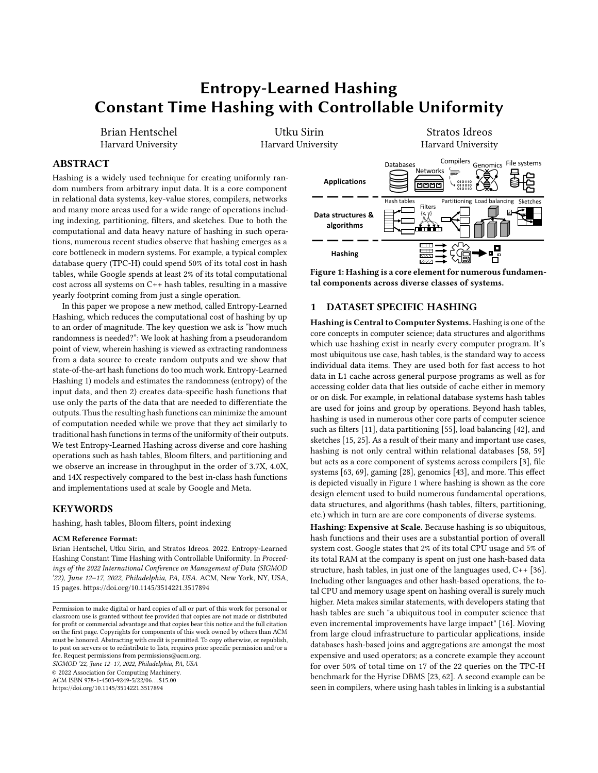<span id="page-9-1"></span>



produces an ordered list of bytes (or words) to choose. Choosing more bytes from the list produces a partial-key function providing more entropy. We use the second half of the dataset to get an unbiased estimate of the entropy for each combination of bytes as described in Section [3.](#page-3-3) Figure [5a](#page-8-1) shows that the entropy of the result of the partial-key function increases for all datasets with the number of words included. We see that by 3 words being included all datasets have an entropy of at least 18, and 3 of the 5 have entropies above 25. For Wikipedia and UUID, infinite entropy is estimated because no collisions are observed with the partial-key function. Figure [5b](#page-8-1) shows how this entropy translates into data structures, where we see that the Google URLs dataset is capable structures, where we see that the Google URLs dataset is capable of using partial-key hashing with hundreds of millions of elements while hashing just a couple words. Similar results can be seen by transposing the other four datasets onto Figure [5b](#page-8-1), with most datasets supporting hash data structures larger than the actual number of elements found in the dataset.

#### <span id="page-9-0"></span>6.3 Hash Table Probe Time

After showing that datasets have enough entropy for partial-key hashing to be used,we now turn to showing the performance benefits which can be gained by using Entropy-Learned hash functions for data structures and algorithms. We first focus on hash tables. We examine the probe time per hash table lookup, where we perform the lookups one after the other without any blocking, e.g., similar to the probe-phase of the hash join algorithm.

Entropy-Learned Hashing Reduces Hash Table Probe Time. We first test hash table probe times on real-world datasets for small (L1-resident) and large data (L3/DRAM-resident) with 0% (hit rate = 0) and 100% (hit rate = 1) hit rates. We test with Google's SwissTable using three hash functions: (i) the default hash function provided by SwissTable (GST), (ii) the most recent version of wyhash (FK), and (iii) the Entropy-Learned wyhash hash function (ELH). The small data contains one thousand keys, and the large data contains half of the number of keys of the dataset (we use the other half to generate probes for missing keys). Figure [6](#page-9-1) shows the results, wherein Entropy-Learned Hashing provides speedups across all data sizes, datasets, and hit rates over full-key hashing. Across the 20 experiments, the average speedup using ELH over wyhash and SwissTable's default hash function is 1.40 , with these speedups being as high 3"7 over the default hash function of SwissTable and as high as 2"9 over wyhash, both of which are well engineered functions and implementations.

Entropy-Learned Hashing Scales with Entropy, not Key Size. To understand the reasons behind the speed up observed in Figure [6,](#page-9-1) we first need to return to Table [3](#page-8-0) and Figure [5.](#page-8-1) For full-key hashing,

<span id="page-9-2"></span>

Figure 7: Entropy-Learned Hashing significantly reduces computation time bringing speedup as high as 2.9 for cache-resident hash tables with (a) low and (b) high hit rates.

it needs to hash each byte of the dataset, and so the number of bytes processed is on average the key length given in Table [3.](#page-8-0) For Entropy-Learned Hashing, the number of bytes it hashes is when the entropy of the dataset (seen in Figure [5a](#page-8-1)) crosses the entropy needed by the data structure (seen in Figure [5b](#page-8-1)). When there is a large gap between these two numbers, Entropy-Learned Hashing produces large speedups. For instance, the large gap between the number of bytes hashed is why ELH achieves 2.9 speedup over wyhash and 3.9 speedup over default SwissTable in Figure [6a](#page-9-1). Similarly, it is why ELH is 1.67 faster than wyhash and 1.81 faster than default SwissTable on the Google dataset in Figure [6d](#page-9-1).

While faster hashing computation uniformly brings speedups to hash table probes, the amount of this speedup depends on other factors of hash table queries, namely the hit rate and hash table size. We now explain how the combination of these factors with Entropy-Learned Hashing affects performance.

Computation Dominates for Cache-Resident Hash Tables. For cache-resident hash tables, memory requests return quickly and so computation dominates the overall cost of probes. In this case, the savings created by Entropy-Learned Hashing depend on how much work there is beyond the hash function evaluation. Figure [7](#page-9-2) shows how the work beyond hashing differs for queries for non-existing keys and for existing keys. When queries are for nonexisting keys, computation usually consists of the hash function plus small amounts of computation using the tag bits. As Figure [7a](#page-9-2) shows, in this case the hash function evaluation is most of the cost and Entropy-Learned Hashing brings significant benefits. This explains the 1.5 , 2.9 , 1.8 , and 1.8 speedup over wyhash seen in Figure [6a](#page-9-1) for the UUID, Wikipedia, Hacker News, and Google datasets, respectively. When queries are for keys in the dataset, Figure [7b](#page-9-2) shows the comparison after the hash function evaluation takes significant time. As a result, Entropy-Learned Hashing still provides benefits but not quite as large as before, with the savings being 1.23 , 1.41 1.28 , and 1.28 for the UUID, Wikipedia,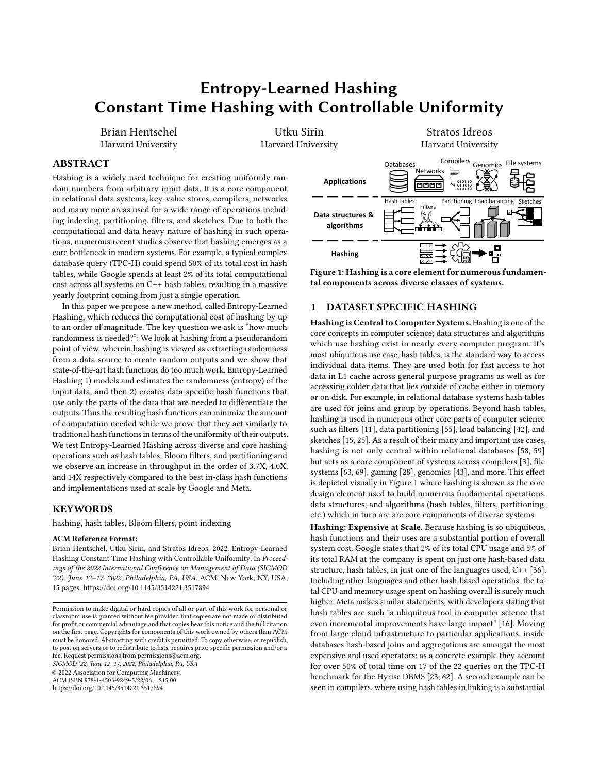<span id="page-10-0"></span>

Figure 8: (a) MLP is significantly higher for ELH than it is for full-key hashing. (b) As a result, ELH reduces both the number of instructions executed and memory waiting time.

Hacker news, and Google datasets, respectively. Thus in cache, Entropy-Learned Hashing provides up to a 40% speedup for queries on existing keys and up to a 3 improvement on non-existent keys. Memory Parallelism Dominates for Large Hash Tables. At large data sizes, the increase in computational performance from faster hashing leads to more efficient use of the memory hierarchy. This is due to the effects of CPU pipelining. Namely, when hash table lookups are done one after the other without blocking, then the CPU typically pipelines multiple hash table lookups which are then executed in parallel [\[34\]](#page-13-47). Entropy-Learned Hashing reduces the amount of computation required, and as a result, the CPU fits a larger number of hash table lookups into its pipeline. The effect of this increased pipelining is what creates the speedups seen at large data sizes in Figure [6c](#page-9-1) and [6d](#page-9-1) across datasets, with Entropy-Learned Hashing being as much as 1"67 faster than the nearest competitor.

The amount of this savings depends on the costs of memory accesses, with more expensive memory accesses leading to larger improvements. For instance, in Figure [6d](#page-9-1) we see that the larger datasets Google and Hacker News produce greater savings than the smaller datasets Wikipedia, UUID, and Wiki. Similarly, comparing Figure [6d](#page-9-1) to [6c](#page-9-1), querying for existing keys produces greater savings because we view both tag bits and full-keys in comparison to just the tag bits most often for missing keys.

Figures [8a](#page-10-0) and [8b](#page-10-0) refine this analysis. Figure [8a](#page-10-0) shows the memorylevel parallelism (MLP), which is defined as the number of L1 data cache misses per CPU cycle, for the Hacker News and Google datasets using hit rate = 1. The higher MLP in [8a](#page-10-0) indicates that a large number of data cache misses are being executed in parallel by Entropy-Learned Hashing than by full-key hashing. Figure [8b](#page-10-0) shows how this affects the overall runtime of hash table probes under the same setup, with Entropy-Learned Hashing reducing both the number of instructions executed and memory waiting time. This analysis corroborates the results seen in Figure [6c](#page-9-1) and [6d](#page-9-1), where Entropy-Learned Hashing provides a 1.31 speedup on average over full-key hashing.

Entropy-Learned Hashing Scales with Data. We now turn to experiments with synthetic data so that we can more finely control the data size and experiment with larger data sizes. Figure [9a](#page-10-1) shows the main result, which is that Entropy-Learned Hashing provides benefits for hash tables across small and large data sizes. At small data sizes of 1K tuples, Entropy-Learned Hashing provides 2.33 speedups on queries for non-existing keys and 1.30 speedups for existing keys. For large data sizes of 100M tuples, this speedup is 1.3 for missing keys and 1.7 for existing keys. Figure [9b](#page-10-1) shows

<span id="page-10-1"></span>

Figure 9: (a) Entropy-Learned Hashing provides larger benefits for missing keys at small data sizes and larger benefits for existing keys at large data sizes. (b) Entropy-Learned Hashing improves memory-level parallelism.

that the reason for these speedups is as discussed before for the real-world datasets. Namely, at small data sizes the savings in computation directly produce speedups for Entropy-Learned Hashing, whereas for large data sizes the more efficient hash computation leads to better MLP which produces faster probe times.

#### 6.4 Bloom Filter Lookup Time & FPR

In this section, we evaluate Entropy-Learned Hashing for Bloom filters. We examine the lookup time and false positive rate (FPR) metrics. As input parameters, we let the FPR of the filter be 3% and allow the Entropy-Learned Hashing filter to deviate in FPR by 1%. The filter uses 3 hash functions, but computes only 1 due to double hashing. All parameters are tunable; this experimental setup is meant to reflect high-throughput filters such as those in filter push-down before joins [\[37\]](#page-13-39). For the small data size we use 1K keys and for the large data size we again use half the number of keys in the data.

Entropy-Learned Hashing Reduces Filter Lookup Time. Figures [10a](#page-11-1) and [10b](#page-11-1) present results for Bloom filters lookup time and FPR using xxHash and Entropy-Learned Hashing. Figure [10a](#page-11-1) shows that Entropy-Learned Hashing improves performance on high entropy datasets such as Google, Hacker News, UUID, and Wikipedia. The speedup is consistently between 1.85 and 4.51 . For Wiki, which has both small key size and low entropy, the speedup is small. Across all datasets, the average speedup is 2.10 , so that Entropy-Learned Hashing consistently provides drasticaly faster throughput on Bloom filter queries.

Entropy-Learned Hashing has Tunable Added FPR. Figure [10b](#page-11-1) presents the FPR of Bloom filters using Entropy-Learned Hashing and full-key hashing. Most importantly, as can be seen in Figure [10b](#page-11-1), the FPR is within 1% as our tuning parameter suggests so that our analytical bounds hold. Additionally, Figure [10b](#page-11-1) shows that the increase in FPR is usually much less than this tuning parameter, in this case being only 0.1%. Thus, for most datasets the difference in FPR is negligible. Additionally, this FPR increase can be adjusted down or up as needed. Reducing the allowed increase in FPR increases the entropy needed and so requires more hash computation, and so this represents a tunable FPR vs. speed tradeoff.

Bloom Filters require more entropy than Hash Tables. For a dataset size of = and added FPR of *Y*, ELH requires  $\log_2 = \log_2 1 \cdot 9$ entropy, which is approximately  $\log_2 1 \cdot \gamma$ <sup>o</sup> more entropy than hash tables. For certain datasets such as Wiki or Hacker News, this goes beyond the entropy they can provide using small partial-keys and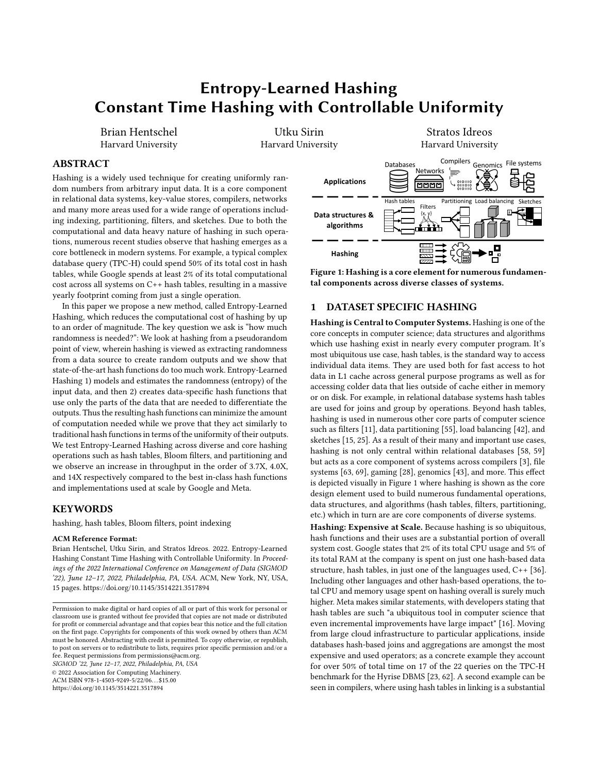<span id="page-11-1"></span>

<span id="page-11-2"></span>Figure 10: Improving Bloom filter lookup time (a) and false positive rates (b) for small and large data sizes.<br>Pure hashing Pos. id. Pota

|             | Púre hashing |       | Pos. id. |      | Data |      |
|-------------|--------------|-------|----------|------|------|------|
| # Par.      | 64           | 1024  | 64       | 1024 | 64   | 1024 |
| <b>UUID</b> | 3.15         | 3.15  | 2.05     | 1.38 | 1.01 | 1.00 |
| Wp.         | 14.10        | 14.09 | 6.18     | 2.66 | 1.23 | 1.18 |
| Wiki        | 1.25         | 1.09  | 1.37     | 1.10 | 1.01 | 1.01 |
| Hn          | 4.29         | 1.00  | 2.72     | 1.00 | 1.17 | 1.03 |
| Ggle        | 7.83         | 7.82  | 2.51     | 1.42 | 1.01 | 1.00 |

Table 4: Speeding up when partitioning.

so they revert to using full-key hashing at large data sizes as can be seen in Figures [10a](#page-11-1) and b. For Google URLs, Wikipedia, and UUID, they have more than enough entropy and each can support at least 100 more data or a 100 lower added FPR. Thus, these datasets maintain consistent speedups at no cost to FPR for very large data sizes as seen in Figure [10b](#page-11-1).

#### 6.5 Partitioning Time & Variance

Partitioning is used in many contexts. For instance, tuples may be sent across the network in settings such as map-reduce or simply partitioned in memory as in radix-partitioning before hash joins. Because of this, the cost of partitioning depends very heavily on the application it is used in. To help guide users in terms of whether Entropy-Learned Hashing can be useful for their application, we provide three micro-benchmarks. These benchmarks show the increased computational efficiency of Entropy-Learned Hashing on partitioning and put this computational efficiency in context. In the first micro-benchmark, we only compute the partition assigned to each input key. In the second, we keep a list of positional identifiers for each partition and write out the position of each key assigned to each partition. In the third, we write out the actual keys assigned to each partition. As we progress through the microbenchmarks, we move from a computationally heavy task with few writes to a memory bandwidth intensive task which is mostly memory bound. Depending on the setup, the benefit in performance from using Entropy-Learned Hashing may be between 14 and 18%. Thus, the benefit of Entropy-Learned Hashing for partitioning depends on whether the saved computational cycles are of use, either directly through speedups on the task at hand, or indirectly, by allowing other computation to take place while network or memory I/O is being performed. Like Bloom Filters, partitioning has a tunable parameter which allows the variance (equivalently standard deviation) to increase in exchange for faster hashing. We set this parameters so that each partition is expected to be within 5% of its mean.

Entropy-Learned Hashing Reduces Partitioning Time. Table [4](#page-11-2) presents the speedups of Entropy-Learned Hashing for the three

| Hentschel, Sirin, and Idreos |  |  |  |
|------------------------------|--|--|--|
|------------------------------|--|--|--|

<span id="page-11-3"></span>

|        |      | Pure hashing |      | Pos. id. |      | Data |
|--------|------|--------------|------|----------|------|------|
| # Par. | 64   | 1024         | 64   | 1024     | 64   | 1024 |
| UUID   | 1.44 | 0.95         | 1.44 | 0.95     | 1.44 | 0.95 |
| Wp.    | 0.92 | 1.02         | 0.92 | 1.02     | 0.93 | 1.02 |
| Wiki   | 1.35 | 1.01         | 1.35 | 1.01     | 1.35 | 1.01 |
| Hn     | 2.06 | 1.00         | 2.06 | 1.00     | 2.05 | 1.00 |
| Ggle   | 1.09 | 1.08         | 1.09 | 1.08     | 1.09 | 1.08 |

Table 5: The relative standard deviations of Entropy-Learned Hashing and full-key hashing are similar.

configurations we examine. Entropy-Learned Hashing dramatically improves the hashing computation as can be seen by the left side of Table [4,](#page-11-2) with increases in speed of above 3 for 4 of the 5 datasets and speedups of up to 14.1 . Partitioning by writing out positional identifiers, seen in the middle column of Table [4,](#page-11-2) is similar, with increases in speed of greater than 2 for 4 of the 5 datasets and speedups of up to 6.2 . Thus, the results show that the computational cost of partitioning is significantly cheaper using Entropy-Learned Hashing. At the same time, writing out large amounts of data can limit the benefits of using ELH for partitioning, as seen in the right side of Table [4.](#page-11-2) By writing out long-key strings at each iteration of the partitioning, limitations on write bandwidth limit gains from Entropy-Learned Hashing. Still, even in this case the speedups can be as much as 20%, and additionally CPU usage is reduced which frees up the CPU for other tasks.

Partitioning quality is maintained using Entropy-Learned Hashing. Table [5](#page-11-3) presents normalized relative standard deviation for partitioning, where relative standard deviation is obtained by dividing the standard deviation by the average. We calculate relative standard deviation for both full-key and Entropy-Learned Hashing and normalize the Entropy-Learned Hashing to the full-key hashing. As Table [5](#page-11-3) shows, the normalized relative standard deviations concentrate around one, which shows that the partitions produced by the full-key hashing and the partitions produced by the entropylearned hashing are similar. In the case they are not, such as for Hacker News with 64 partitions, the relative standard deviation of Entropy-Learned Hashing is less than 3% so that partitions are within 3% of their expected number of items on average.

#### <span id="page-11-0"></span>6.6 Large Key Experiments

A key point of Entropy-Learned Hashing is that its runtime is independent of key size. While this already provides speedups for medium sized keys such as URLs and text, this speedup is much larger for large keys such as file blocks. To show the effects of Entropy-Learned Hashing on large keys, we repeat our previous experiments for hash tables, bloom filters, and partitioning but with synthetic random keys of 8192 bytes each. Figure [11](#page-12-0) shows the results. For hash tables with all successful lookups, the benefits of Entropy-Learned Hashing are bounded because comparing keys limits the throughput of these tasks. For hash table lookups that are misses, Bloom filter probes, and partitioning, this speedup is unbounded and can be one to two orders of magnitude. Thus, when keys are large, speedups from using Entropy-Learned Hashing can be extremely sizable with respect to runtime.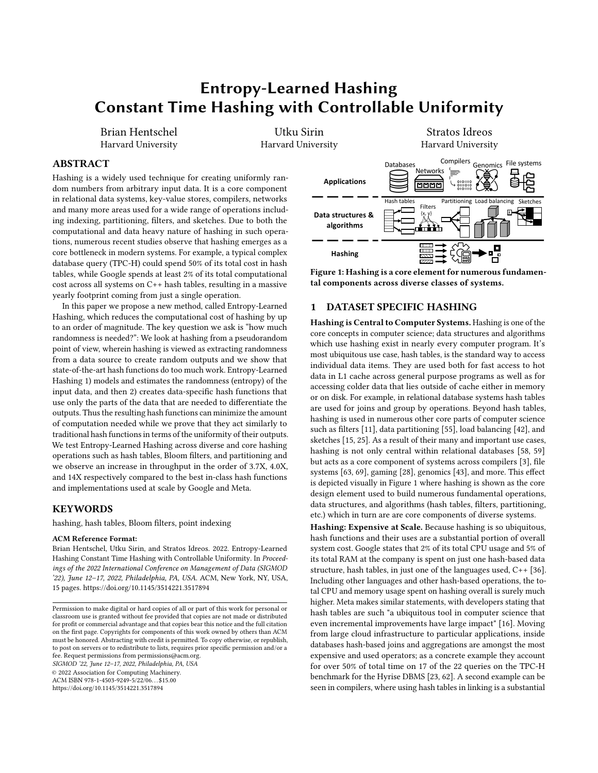<span id="page-12-0"></span>

Figure 11: Entropy-Learned Hashing provides orders of magnitude speedups at large key sizes.

# 6.7 Training Time

Beyond the benefits produced from using Entropy-Learned Hashing in data structures, an additional goal is that the algorithms to select bytes are cheap to perform. To evaluate the training time, we show the runtimes of our training algorithms on the full Google dataset.

Table [6](#page-12-1) shows the results, displaying algorithm run times for our naive implementation which

<span id="page-12-1"></span>

| # bytes                   |         |        |       |  |  |
|---------------------------|---------|--------|-------|--|--|
| Optimized                 | 214s    | 11.6 s | 6.4s  |  |  |
| <b>Naive</b>              | 29 min. | 13 min | 5 min |  |  |
| Table 6: Training runtime |         |        |       |  |  |

keeps all data points at each iteration, and for our optimized implementation which discards unique keys after each iteration. There are three main takeaways. First, the training time is reasonable for all sizes of contiguous bytes chosen, with runtimes between several minutes and several seconds. Second, pruning items which are unique from the dataset after each iteration produces substantial runtime benefits (if an item is unique on some subset of bytes, adding new bytes cannot create a collision for that item). Third, as the size of the contiguous byte locations we choose increases, the runtime decreases significantly because there are fewer options at each iteration and because after fewer iterations the number of data items that are non-unique is low (making each step, i.e. Algorithm [2,](#page-3-1) fast).

# 6.8 Additional Experiments

The paper focuses on a curated set of experiments which best showcase the properties of Entropy-Learned Hashing. Due to space constraints, this leaves out several experiments which cover other key metrics. Briefly, this includes experiments on 1) the efficiency of creating Entropy-Learned Hash data structures, 2) probing separate chaining hash tables, 3) experiments with dependent accesses (i.e. hash table lookups and Bloom filter lookups which must run one after the other instead of in parallel), 4) additional experiments on Bloom filters showing a range of desired false positive rates, and 5) experiments showing robustness properties. We include all of these results in the technical report [\[29\]](#page-13-25).

# 7 RELATED WORK

Entropy & Hashing. Chung, Mitzenmacher, and Vadhan's work [\[18,](#page-13-23) [41\]](#page-13-24) explains why current hash functions perform well, hypothesizing that data randomness is the reason this occurs. Our work makes

a step forward to change the practice of hashing by recognizing this randomness, choosing how much and which parts of the data we need to hash, and making hash functions cheaper.

Non-Cryptographic Hash Functions. New hash functions are continually designed and fitted to modern processors [\[64\]](#page-14-14). This includes works with some form of data-independent randomness guarantees such as multiply-shift [\[22\]](#page-13-48), CLHash [\[38\]](#page-13-49), and tabulation hashing[\[51,](#page-13-50) [72\]](#page-14-15). These works are complementary to Entropy-Learned Hashing as they can be modified to work over subsets of bytes to achieve even better speeds.

Data-Dependent hashing. Hash functions which depend on the data have been considered before. For point lookups, this includes perfect hashing [\[26\]](#page-13-51) and learned hash indexes [\[35\]](#page-13-52). Both these methods introduce computational overhead while trying to reduce the number of collisions. Entropy-Learned Hashing is complementary to such works and it can be used in conjunction with these techniques to get both better computation and a lower number of collisions. An additional line of work which is related in terms of learning from data but for a very different application is using data to learn what items are approximately nearest neighbors [\[65\]](#page-14-16).

Cryptographic Hash Functions. Cryptographic hash functions such as MD5 [\[60\]](#page-14-17), SHA1 [\[24\]](#page-13-53) and newer variants have more stringent measures on the ability to invert hash function outputs, but can and have been used for hash-based data structures. A cryptographic hash function specifically designed for hash-based data structures is SipHash [\[8\]](#page-13-54). While development of newer cryptographic hash functions has made cryptographic hashing faster, it remains an order of magnitude slower than non-cryptographic hashing [\[19\]](#page-13-17).

# 8 CONCLUSION & FUTURE WORK

This paper introduces Entropy-Learned Hashing, a way to reduce the cost of hash functions by modelling the input data to produce hash functions that give just enough randomness. We demonstrate that this approach leads to substantial benefits in terms of computational speed on hash tables, Bloom filters, and load balancing. We also derived key relationships between the entropy of the data source and the performance of data structures, deriving how much entropy is needed for each data structure when given access to a suitably good hash function.

Future work includes investigating the relationship between the distribution of source data and the necessary operations inside the hash function. For instance, experimentally the fastest hash function for integer tables for most datasets is multiply-shift [\[59\]](#page-14-2); however, theoretically it is known that certain datasets produce non-constant access times for linear probing when using this hash function [\[48\]](#page-13-14). A dataset-specific view of this approach would illuminate when and why we can use this hash function.

# 9 ACKNOWLEDGEMENTS

This work is partially funded by the USA Department of Energy project DE-SC0020200 and by the Swiss National Science Foundation Early Postdoc Mobility scholarship P2ELP2\_199749.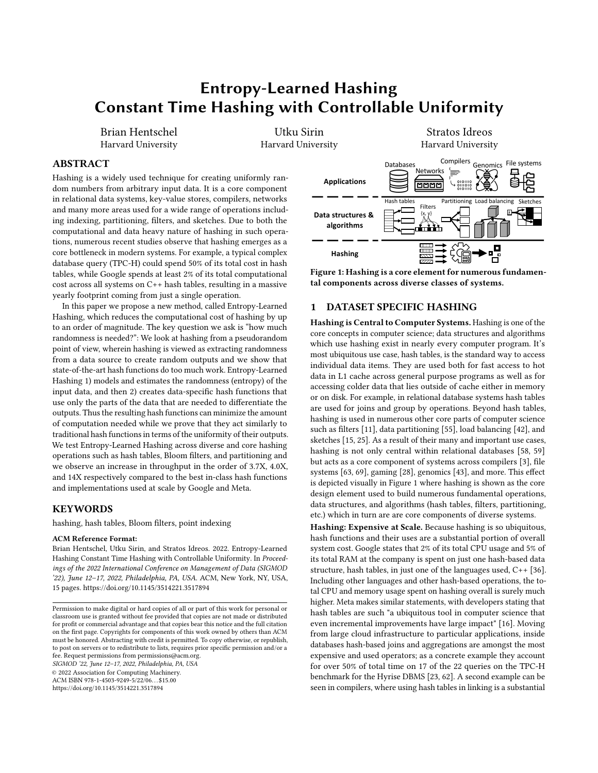SIGMOD '22, June 12–17, 2022, Philadelphia, PA, USA Hentschel, Sirin, and Idreos

#### **REFERENCES**

- <span id="page-13-20"></span>[1] [n.d.]. gcc libstdc++ hash. [https://github.com/gcc-mirror/gcc/blob/master/](https://github.com/gcc-mirror/gcc/blob/master/libstdc%2B%2B-v3/libsupc%2B%2B/hash_bytes.cc) [libstdc%2B%2B-v3/libsupc%2B%2B/hash\\_bytes.cc.](https://github.com/gcc-mirror/gcc/blob/master/libstdc%2B%2B-v3/libsupc%2B%2B/hash_bytes.cc) Accessed: 2021-05-23.
- <span id="page-13-42"></span>[2] 2015. Hacker News Posts. [https://www.kaggle.com/hacker-news/hacker-news](https://www.kaggle.com/hacker-news/hacker-news-posts)[posts.](https://www.kaggle.com/hacker-news/hacker-news-posts) Accessed: 2021-05-23.
- <span id="page-13-5"></span>[3] 2019. Linker Throughput Improvement in Visual Studio 2019. https://devblogs.microsoft.com/cppblog/linker-throughput-improvementin-visual-studio-2019/.
- <span id="page-13-30"></span>[4] Jayadev Acharya, Alon Orlitsky, Ananda Theertha Suresh, and Himanshu Tyagi. 2017. Estimating Renyi Entropy of Discrete Distributions. IEEE Transactions on Information Theory 63, 1 (2017), 38–56.<https://doi.org/10.1109/TIT.2016.2620435>
- <span id="page-13-36"></span>[5] Paulo Sérgio Almeida, Carlos Baquero, Nuno Preguiça, and David Hutchison. 2007. Scalable Bloom Filters. Inf. Process. Lett. 101, 6 (March 2007), 255–261.
- <span id="page-13-21"></span>[6] Austin Appleby. [n.d.]. murmurhash3. [https://github.com/aappleby/smhasher/](https://github.com/aappleby/smhasher/wiki/MurmurHash3) [wiki/MurmurHash3.](https://github.com/aappleby/smhasher/wiki/MurmurHash3) Accessed: 2021-05-23.
- <span id="page-13-16"></span>[7] Austin Appleby. [n.d.]. smhasher suite. [https://github.com/aappleby/smhasher.](https://github.com/aappleby/smhasher) Accessed: 2021-05-23.
- <span id="page-13-54"></span>[8] Jean-Philippe Aumasson and Daniel J. Bernstein. 2012. SipHash: A Fast Short-Input PRF. In Progress in Cryptology - INDOCRYPT 2012, Steven Galbraith and Mridul Nandi (Eds.). Springer Berlin Heidelberg, Berlin, Heidelberg, 489–508.
- <span id="page-13-29"></span>[9] Eric Balkanski, Sharon Qian, and Yaron Singer. 2021. Instance specific approximations for submodular maximization. In International Conference on Machine Learning. PMLR, 609–618.
- <span id="page-13-41"></span>[10] Cagri Balkesen, Gustavo Alonso, Jens Teubner, and M. Tamer Özsu. 2013. Multi-Core, Main-Memory Joins: Sort vs. Hash Revisited. Proc. VLDB Endow. 7, 1 (Sept. 2013), 85–96.<https://doi.org/10.14778/2732219.2732227>
- <span id="page-13-0"></span>[11] Burton H Bloom. 1970. Space/time trade-offs in hash coding with allowable errors. Commun. ACM 13, 7 (1970), 422–426.
- <span id="page-13-35"></span>[12] Colin R. Blyth. 1980. Expected Absolute Error of the Usual Estimator of the Binomial Parameter. The American Statistician 34, 3 (1980), 155–157. [http:](http://www.jstor.org/stable/2683873) [//www.jstor.org/stable/2683873](http://www.jstor.org/stable/2683873)
- <span id="page-13-44"></span>[13] Peter Boncz, Thomas Neumann, and Viktor Leis. 2020. FSST: Fast Random Access String Compression. 13, 12 (2020), 2649–2661.
- <span id="page-13-37"></span>[14] Andrei Broder, Michael Mitzenmacher, and Andrei Broder I Michael Mitzenmacher. 2002. Network Applications of Bloom Filters: A Survey. In Internet Mathematics. 636–646.
- <span id="page-13-3"></span>[15] Andrei Z. Broder. 1997. On the resemblance and containment of documents.. In SEQUENCES, Bruno Carpentieri, Alfredo De Santis, Ugo Vaccaro, and James A. Storer (Eds.). IEEE, 21–29. [http://dblp.uni-trier.de/db/conf/sequences/](http://dblp.uni-trier.de/db/conf/sequences/sequences1997.html#Broder97) [sequences1997.html#Broder97](http://dblp.uni-trier.de/db/conf/sequences/sequences1997.html#Broder97)
- <span id="page-13-9"></span>[16] Nathan Bronson and Xiao Shi. [n.d.]. Open-sourcing F14 for faster, more memoryefficient hash tables. [https://engineering.fb.com/2019/04/25/developer-tools/f14/.](https://engineering.fb.com/2019/04/25/developer-tools/f14/)
- <span id="page-13-13"></span>[17] J. Lawrence Carter and Mark N. Wegman. 1977. Universal Classes of Hash Functions (Extended Abstract). In Proceedings of the Ninth Annual ACM Symposium on Theory of Computing (Boulder, Colorado, USA) (STOC '77). Association for Computing Machinery, New York, NY, USA, 106–112.
- <span id="page-13-23"></span>[18] Kai-Min Chung, Michael Mitzenmacher, and Salil Vadhan. 2013. Why Simple Hash Functions Work: Exploiting the Entropy in a Data Stream. Theory of Computing 9, 30 (2013), 897–945.<https://doi.org/10.4086/toc.2013.v009a030>
- <span id="page-13-17"></span>[19] Yann Collet. [n.d.]. xxHash. [https://cyan4973.github.io/xxHash/.](https://cyan4973.github.io/xxHash/) Accessed: 2021-05-23.
- <span id="page-13-32"></span>[20] Thomas H. Cormen, Charles E. Leiserson, Ronald L. Rivest, and Clifford Stein. 2009. Introduction to Algorithms, Third Edition (3rd ed.). The MIT Press.
- <span id="page-13-11"></span>[21] Niv Dayan and Moshe Twitto. 2021. Chucky: A Succinct Cuckoo Filter for LSM-Tree. In Proceedings of the 2021 International Conference on Management of Data (Virtual Event, China) (SIGMOD/PODS '21). Association for Computing Machinery, New York, NY, USA, 365–378.<https://doi.org/10.1145/3448016.3457273>
- <span id="page-13-48"></span>[22] Martin Dietzfelbinger, Torben Hagerup, Jyrki Katajainen, and Martti Penttonen. 1997. A Reliable Randomized Algorithm for the Closest-Pair Problem. Journal of Algorithms 25, 1 (1997), 19–51.
- <span id="page-13-10"></span>[23] Markus Dreseler, Martin Boissier, Tilmann Rabl, and Matthias Uflacker. 2020. Quantifying TPC-H Choke Points and Their Optimizations. Proc. VLDB Endow. 13, 8 (April 2020), 1206–1220.<https://doi.org/10.14778/3389133.3389138>
- <span id="page-13-53"></span>[24] D. Eastlake and P. Jones. 2001. RFC3174: US Secure Hash Algorithm 1 (SHA1).
- <span id="page-13-4"></span>[25] P. Flajolet, Éric Fusy, Olivier Gandouet, and Frédéric Meunier. 2007. Hyper-LogLog: the analysis of a near-optimal cardinality estimation algorithm. Discrete Mathematics & Theoretical Computer Science (2007), 137–156.
- <span id="page-13-51"></span>[26] Michael L. Fredman, Michael L. Fredman, Michael L. Fredman, Michael L. Fredman, Janos Komlos, Janos Komlos, Janos Komlos, Janos Komlos, Endre Szemeredi, Endre Szemeredi, Endre Szemeredi, and Endre Szemeredi. 1982. Storing a sparse table with O(1) worst case access time. In 23rd Annual Symposium on Foundations of Computer Science (sfcs 1982). 165–169.<https://doi.org/10.1109/SFCS.1982.39>
- <span id="page-13-38"></span>[27] Google. [n.d.]. Abseil Common Libraries. https://github.com/abseil/abseil-cpp.
- <span id="page-13-6"></span>[28] Jason Gregory. 2009. Game engine architecture (1 ed.). Taylor & Francis Ltd.
- <span id="page-13-25"></span>[29] Brian Hentschel, Utku Sirin, and Stratos Idreos. [n.d.]. Entropy-Learned Hashing Technical Report. [https://bhentsch.github.io/](https://bhentsch.github.io/doc/EntropyLearnedHashingTechnicalReport.pdf) Learned Hashing Technical Report. https://bhentsch.github.io/<br>[doc/EntropyLearnedHashingTechnicalReport.pdf.](https://bhentsch.github.io/doc/EntropyLearnedHashingTechnicalReport.pdf) [https://github.](https://github.com/AnonymousSigmod2022/EntropyLearnedHashing/blob/master/TechnicalReport.pdf)

[com/AnonymousSigmod2022/EntropyLearnedHashing/blob/master/](https://github.com/AnonymousSigmod2022/EntropyLearnedHashing/blob/master/TechnicalReport.pdf) [TechnicalReport.pdf](https://github.com/AnonymousSigmod2022/EntropyLearnedHashing/blob/master/TechnicalReport.pdf)

- <span id="page-13-45"></span>[30] Intel. 2021. Intel VTune Amplifier XE Performance Profiler. http://software.intel.com/en-us/articles/intel-vtune-amplifier-xe/.
- <span id="page-13-40"></span>[31] Adam Kirsch and Michael Mitzenmacher. 2006. Less hashing, same performance: building a better bloom filter. In European Symposium on Algorithms. Springer, 456–467.
- <span id="page-13-33"></span>[32] Donald E. Knuth. 1998. The Art of Computer Programming, Volume 3: (2nd Ed.) Sorting and Searching. Addison Wesley Longman Publishing Co., Inc., USA.
- <span id="page-13-27"></span>[33] Chun-Wa Ko, Jon Lee, and Maurice Queyranne. 1995. An exact algorithm for maximum entropy sampling. Operations Research 43, 4 (1995), 684–691.
- <span id="page-13-47"></span>[34] Onur Kocberber, Babak Falsafi, and Boris Grot. 2015. Asynchronous Memory Access Chaining. Proc. VLDB Endow. 9, 4 (2015), 252–263.
- <span id="page-13-52"></span>[35] Tim Kraska, Alex Beutel, Ed H Chi, Jeffrey Dean, and Neoklis Polyzotis. 2018. The case for learned index structures. In Proceedings of the 2018 International Conference on Management of Data. ACM, 489–504.
- <span id="page-13-8"></span>[36] Matt Kulukundis. [n.d.]. Designing a Fast, Efficient, Cache-friendly Hash Table, Step by Step. [https://www.youtube.com/watch?v=ncHmEUmJZf4.](https://www.youtube.com/watch?v=ncHmEUmJZf4)
- <span id="page-13-39"></span>[37] Harald Lang, Thomas Neumann, Alfons Kemper, and Peter Boncz. 2019. Performance-optimal filtering: Bloom overtakes cuckoo at high throughput. Proceedings of the VLDB Endowment 12, 5 (2019), 502–515.
- <span id="page-13-49"></span>[38] Daniel Lemire and Owen Kaser. 2016. Faster 64-bit universal hashing using carryless multiplications. Journal of Cryptographic Engineering 6, 3 (2016), 171–185. [39] Linux. 2021. Perf Wiki. https://perf.wiki.kernel.org/.
- <span id="page-13-46"></span><span id="page-13-12"></span>[40] Zaoxing Liu, Ran Ben-Basat, Gil Einziger, Yaron Kassner, Vladimir Braverman, Roy Friedman, and Vyas Sekar. 2019. Nitrosketch: Robust and General Sketch-Based Monitoring in Software Switches. In Proceedings of the ACM Special Interest Group on Data Communication (Beijing, China) (SIGCOMM '19). Association for Computing Machinery, New York, NY, USA, 334–350. [https://doi.org/10.1145/](https://doi.org/10.1145/3341302.3342076) [3341302.3342076](https://doi.org/10.1145/3341302.3342076)
- <span id="page-13-24"></span>[41] Michael Mitzenmacher and Salil Vadhan. 2008. Why simple hash functions work: Exploiting the entropy in a data stream. Proceedings of the Annual ACM-SIAM Symposium on Discrete Algorithms, 746–755.
- <span id="page-13-2"></span>[42] Michael David Mitzenmacher and Alistair Sinclair. 1996. The Power of Two Choices in Randomized Load Balancing. Ph.D. Dissertation. AAI9723118.
- <span id="page-13-7"></span>[43] Hamid Mohamadi, Justin Chu, Benjamin P. Vandervalk, and Inanc Birol. 2016. ntHash: recursive nucleotide hashing. Bioin-formatics 32, 22 (07 2016), 3492–3494. [https://doi.org/10.1093/](https://doi.org/10.1093/bioinformatics/btw397) [bioinformatics/btw397](https://doi.org/10.1093/bioinformatics/btw397) arXiv[:https://academic.oup.com/bioinformatics/article](https://arxiv.org/abs/https://academic.oup.com/bioinformatics/article-pdf/32/22/3492/19397493/btw397_Sup.pdf)[pdf/32/22/3492/19397493/btw397\\_Sup.pdf](https://arxiv.org/abs/https://academic.oup.com/bioinformatics/article-pdf/32/22/3492/19397493/btw397_Sup.pdf)
- <span id="page-13-28"></span>[44] George L Nemhauser, Laurence A Wolsey, and Marshall L Fisher. 1978. An analysis of approximations for maximizing submodular set functions—I. Mathematical programming 14, 1 (1978), 265–294.
- <span id="page-13-43"></span>[45] Hyeonwoo Noh, Andre Araujo, Jack Sim, and Bohyung Han. 2016. Large-Scale Image Retrieval with Attentive Deep Local Features. International Conference on Computer Vision (ICCV) (2016).<http://arxiv.org/abs/1612.06321>
- <span id="page-13-31"></span>[46] Maciej Obremski and Maciej Skorski. 2017. Renyi Entropy Estimation Revisited. In Approximation, Randomization, and Combinatorial Optimization. Algorithms and Techniques, APPROX/RANDOM 2017, August 16-18, 2017, Berkeley, CA, USA (LIPIcs, Vol. 81), Klaus Jansen, José D. P. Rolim, David Williamson, and Santosh S. Vempala (Eds.). Schloss Dagstuhl - Leibniz-Zentrum für Informatik, 20:1–20:15.
- <span id="page-13-26"></span>[47] Patrick E. O'Neil, Edward Cheng, Dieter Gawlick, and Elizabeth J. O'Neil. 1996. The Log-Structured Merge-Tree (LSM-Tree). Acta Inf. 33, 4 (1996), 351–385. <http://dblp.uni-trier.de/db/journals/acta/acta33.html#ONeilCGO96>
- <span id="page-13-14"></span>[48] Anna Pagh, Rasmus Pagh, and Milan Ružić. 2011. Linear Probing with 5-Wise Independence. SIAM Rev. 53, 3 (Aug. 2011), 547–558. [https://doi.org/10.1137/](https://doi.org/10.1137/110827831) [110827831](https://doi.org/10.1137/110827831)
- <span id="page-13-22"></span>[49] Rasmus Pagh and Flemming Friche Rodler. 2004. Cuckoo Hashing. J. Algorithms 51, 2 (May 2004), 122–144.<https://doi.org/10.1016/j.jalgor.2003.12.002>
- <span id="page-13-15"></span>[50] Mihai Pǎtraşcu and Mikkel Thorup. 2010. On the k-Independence Required by Linear Probing and Minwise Independence. In Automata, Languages and Programming. Springer Berlin Heidelberg, Berlin, Heidelberg, 715–726.
- <span id="page-13-50"></span>[51] Mihai Patrascu and Mikkel Thorup. 2011. The Power of Simple Tabulation Hashing. In Proceedings of the Forty-Third Annual ACM Symposium on Theory of Computing (San Jose, California, USA) (STOC '11). Association for Computing Machinery, New York, NY, USA, 1–10.<https://doi.org/10.1145/1993636.1993638>
- <span id="page-13-34"></span>[52] W. W. Peterson. 1957. Addressing for Random-Access Storage. IBM Journal of Research and Development 1, 2 (1957), 130–146.<https://doi.org/10.1147/rd.12.0130>
- <span id="page-13-18"></span>[53] Geoff Pike and Jyrki https://github.com/google/cityhash.
- <span id="page-13-19"></span>[54] Geoff Pike and Jyrki Alakuijala. 2014. FarmHash. https://github.com/google/farmhash.
- <span id="page-13-1"></span>[55] Orestis Polychroniou and Kenneth A. Ross. 2014. A Comprehensive Study of Main-Memory Partitioning and Its Application to Large-Scale Comparison- and Radix-Sort. In Proceedings of the 2014 ACM SIGMOD International Conference on Management of Data (Snowbird, Utah, USA) (SIGMOD '14). Association for Computing Machinery, New York, NY, USA, 755–766. [https://doi.org/10.1145/](https://doi.org/10.1145/2588555.2610522) [2588555.2610522](https://doi.org/10.1145/2588555.2610522)